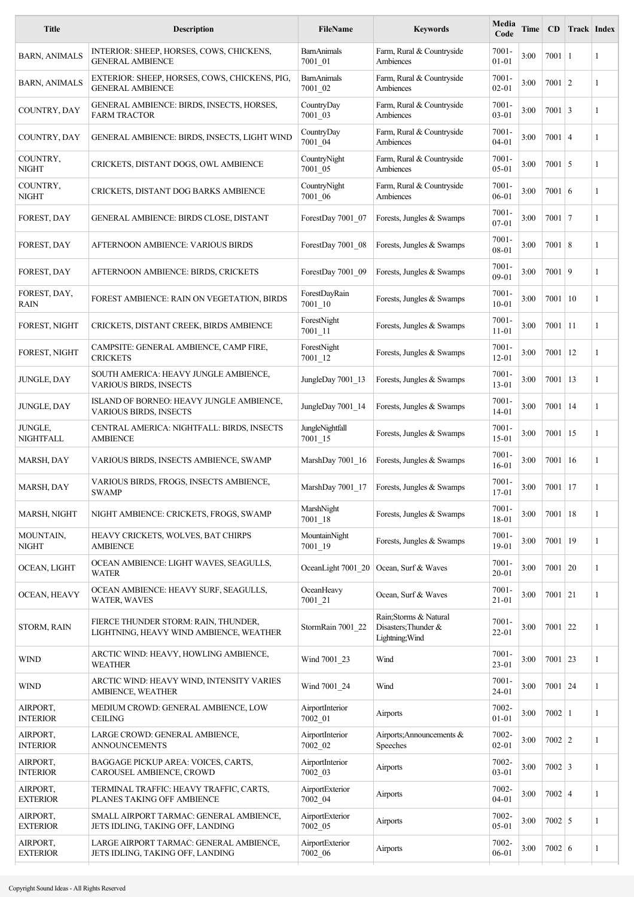| <b>Title</b>                | <b>Description</b>                                                              | <b>FileName</b>               | <b>Keywords</b>                                                   | Media<br>Code         | Time | $\overline{CD}$  | <b>Track Index</b> |   |
|-----------------------------|---------------------------------------------------------------------------------|-------------------------------|-------------------------------------------------------------------|-----------------------|------|------------------|--------------------|---|
| <b>BARN, ANIMALS</b>        | INTERIOR: SHEEP, HORSES, COWS, CHICKENS,<br><b>GENERAL AMBIENCE</b>             | <b>BarnAnimals</b><br>7001 01 | Farm, Rural & Countryside<br>Ambiences                            | $7001 -$<br>$01 - 01$ | 3:00 | $7001 \mid 1$    |                    | 1 |
| <b>BARN, ANIMALS</b>        | EXTERIOR: SHEEP, HORSES, COWS, CHICKENS, PIG,<br><b>GENERAL AMBIENCE</b>        | <b>BarnAnimals</b><br>7001_02 | Farm, Rural & Countryside<br>Ambiences                            | $7001 -$<br>$02 - 01$ | 3:00 | $7001 \mid 2$    |                    | 1 |
| COUNTRY, DAY                | GENERAL AMBIENCE: BIRDS, INSECTS, HORSES,<br><b>FARM TRACTOR</b>                | CountryDay<br>7001_03         | Farm, Rural & Countryside<br>Ambiences                            | 7001-<br>$03 - 01$    | 3:00 | $7001 \mid 3$    |                    | 1 |
| COUNTRY, DAY                | GENERAL AMBIENCE: BIRDS, INSECTS, LIGHT WIND                                    | CountryDay<br>7001_04         | Farm, Rural & Countryside<br>Ambiences                            | $7001 -$<br>$04 - 01$ | 3:00 | $7001 \mid 4$    |                    | 1 |
| COUNTRY,<br><b>NIGHT</b>    | CRICKETS, DISTANT DOGS, OWL AMBIENCE                                            | CountryNight<br>7001_05       | Farm, Rural & Countryside<br>Ambiences                            | $7001 -$<br>05-01     | 3:00 | $7001$ 5         |                    | 1 |
| COUNTRY,<br><b>NIGHT</b>    | CRICKETS, DISTANT DOG BARKS AMBIENCE                                            | CountryNight<br>7001_06       | Farm, Rural & Countryside<br>Ambiences                            | $7001 -$<br>06-01     | 3:00 | $7001 \mid 6$    |                    | 1 |
| FOREST, DAY                 | GENERAL AMBIENCE: BIRDS CLOSE, DISTANT                                          | ForestDay 7001 07             | Forests, Jungles & Swamps                                         | $7001 -$<br>$07 - 01$ | 3:00 | $7001$   7       |                    | 1 |
| FOREST, DAY                 | AFTERNOON AMBIENCE: VARIOUS BIRDS                                               | ForestDay 7001_08             | Forests, Jungles & Swamps                                         | $7001 -$<br>08-01     | 3:00 | $7001 \,   \, 8$ |                    | 1 |
| FOREST, DAY                 | AFTERNOON AMBIENCE: BIRDS, CRICKETS                                             | ForestDay 7001 09             | Forests, Jungles & Swamps                                         | $7001 -$<br>09-01     | 3:00 | $7001$   9       |                    | 1 |
| FOREST, DAY,<br><b>RAIN</b> | FOREST AMBIENCE: RAIN ON VEGETATION, BIRDS                                      | ForestDayRain<br>$7001 - 10$  | Forests, Jungles & Swamps                                         | $7001 -$<br>$10 - 01$ | 3:00 | 7001             | 10                 | 1 |
| FOREST, NIGHT               | CRICKETS, DISTANT CREEK, BIRDS AMBIENCE                                         | ForestNight<br>$7001 - 11$    | Forests, Jungles & Swamps                                         | $7001 -$<br>$11 - 01$ | 3:00 | 7001             | 11                 | 1 |
| FOREST, NIGHT               | CAMPSITE: GENERAL AMBIENCE, CAMP FIRE,<br><b>CRICKETS</b>                       | ForestNight<br>$7001 - 12$    | Forests, Jungles & Swamps                                         | $7001 -$<br>$12 - 01$ | 3:00 | $7001$   12      |                    | 1 |
| JUNGLE, DAY                 | SOUTH AMERICA: HEAVY JUNGLE AMBIENCE,<br><b>VARIOUS BIRDS, INSECTS</b>          | JungleDay 7001_13             | Forests, Jungles & Swamps                                         | $7001 -$<br>13-01     | 3:00 | $7001$   13      |                    | 1 |
| JUNGLE, DAY                 | ISLAND OF BORNEO: HEAVY JUNGLE AMBIENCE,<br>VARIOUS BIRDS, INSECTS              | JungleDay 7001 14             | Forests, Jungles & Swamps                                         | $7001 -$<br>$14 - 01$ | 3:00 | 7001             | 14                 | 1 |
| JUNGLE,<br>NIGHTFALL        | CENTRAL AMERICA: NIGHTFALL: BIRDS, INSECTS<br><b>AMBIENCE</b>                   | JungleNightfall<br>7001 15    | Forests, Jungles & Swamps                                         | $7001 -$<br>$15 - 01$ | 3:00 | $7001$   15      |                    | 1 |
| MARSH, DAY                  | VARIOUS BIRDS, INSECTS AMBIENCE, SWAMP                                          | MarshDay 7001 16              | Forests, Jungles & Swamps                                         | $7001 -$<br>$16 - 01$ | 3:00 | 7001             | 16                 | 1 |
| MARSH, DAY                  | VARIOUS BIRDS, FROGS, INSECTS AMBIENCE,<br><b>SWAMP</b>                         | MarshDay 7001 17              | Forests, Jungles & Swamps                                         | 7001-<br>17-01        | 3:00 | $7001$   17      |                    | 1 |
| MARSH, NIGHT                | NIGHT AMBIENCE: CRICKETS, FROGS, SWAMP                                          | MarshNight<br>$7001 - 18$     | Forests, Jungles & Swamps                                         | 7001-<br>18-01        | 3:00 | $7001$   18      |                    | 1 |
| MOUNTAIN,<br><b>NIGHT</b>   | HEAVY CRICKETS, WOLVES, BAT CHIRPS<br><b>AMBIENCE</b>                           | MountainNight<br>$7001 - 19$  | Forests, Jungles & Swamps                                         | 7001-<br>19-01        | 3:00 | $7001$   19      |                    | 1 |
| OCEAN, LIGHT                | OCEAN AMBIENCE: LIGHT WAVES, SEAGULLS,<br><b>WATER</b>                          | OceanLight 7001_20            | Ocean, Surf & Waves                                               | $7001 -$<br>$20 - 01$ | 3:00 | $7001$   20      |                    | 1 |
| OCEAN, HEAVY                | OCEAN AMBIENCE: HEAVY SURF, SEAGULLS,<br><b>WATER, WAVES</b>                    | OceanHeavy<br>$7001 - 21$     | Ocean, Surf & Waves                                               | $7001 -$<br>$21 - 01$ | 3:00 | $7001$   21      |                    | 1 |
| STORM, RAIN                 | FIERCE THUNDER STORM: RAIN, THUNDER,<br>LIGHTNING, HEAVY WIND AMBIENCE, WEATHER | StormRain 7001 22             | Rain; Storms & Natural<br>Disasters; Thunder &<br>Lightning; Wind | $7001 -$<br>22-01     | 3:00 | $7001$   22      |                    | 1 |
| <b>WIND</b>                 | ARCTIC WIND: HEAVY, HOWLING AMBIENCE,<br><b>WEATHER</b>                         | Wind 7001 23                  | Wind                                                              | $7001 -$<br>$23 - 01$ | 3:00 | $7001$   23      |                    | 1 |
| <b>WIND</b>                 | ARCTIC WIND: HEAVY WIND, INTENSITY VARIES<br><b>AMBIENCE, WEATHER</b>           | Wind 7001_24                  | Wind                                                              | $7001 -$<br>24-01     | 3:00 | $7001$ 24        |                    | 1 |
| AIRPORT,<br><b>INTERIOR</b> | MEDIUM CROWD: GENERAL AMBIENCE, LOW<br><b>CEILING</b>                           | AirportInterior<br>7002 01    | Airports                                                          | 7002-<br>$01 - 01$    | 3:00 | $7002$   1       |                    | 1 |
| AIRPORT,<br><b>INTERIOR</b> | LARGE CROWD: GENERAL AMBIENCE,<br><b>ANNOUNCEMENTS</b>                          | AirportInterior<br>7002 02    | Airports; Announcements $\&$<br>Speeches                          | 7002-<br>$02 - 01$    | 3:00 | $7002$   2       |                    | 1 |
| AIRPORT,<br><b>INTERIOR</b> | BAGGAGE PICKUP AREA: VOICES, CARTS,<br>CAROUSEL AMBIENCE, CROWD                 | AirportInterior<br>7002_03    | Airports                                                          | 7002-<br>03-01        | 3:00 | $7002 \mid 3$    |                    | 1 |
| AIRPORT,<br><b>EXTERIOR</b> | TERMINAL TRAFFIC: HEAVY TRAFFIC, CARTS,<br>PLANES TAKING OFF AMBIENCE           | AirportExterior<br>7002_04    | Airports                                                          | 7002-<br>$04 - 01$    | 3:00 | $7002$   4       |                    | 1 |
| AIRPORT,<br><b>EXTERIOR</b> | SMALL AIRPORT TARMAC: GENERAL AMBIENCE,<br>JETS IDLING, TAKING OFF, LANDING     | AirportExterior<br>7002 05    | Airports                                                          | 7002-<br>05-01        | 3:00 | $7002 \mid 5$    |                    | 1 |
| AIRPORT,<br><b>EXTERIOR</b> | LARGE AIRPORT TARMAC: GENERAL AMBIENCE,<br>JETS IDLING, TAKING OFF, LANDING     | AirportExterior<br>7002_06    | Airports                                                          | 7002-<br>06-01        | 3:00 | $7002 \mid 6$    |                    | 1 |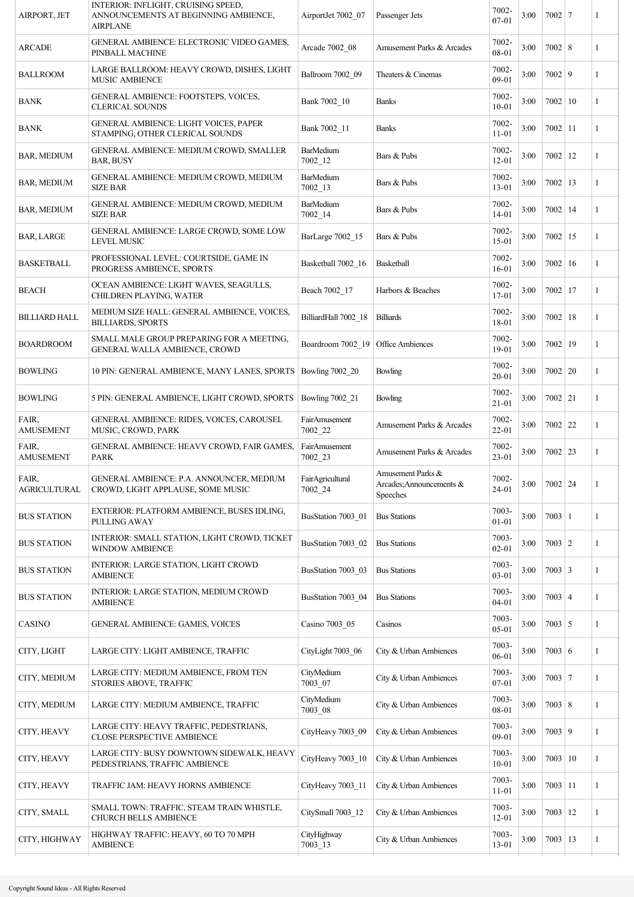| AIRPORT, JET                 | INTERIOR: INFLIGHT, CRUISING SPEED,<br>ANNOUNCEMENTS AT BEGINNING AMBIENCE,<br><b>AIRPLANE</b> | AirportJet 7002 07              | Passenger Jets                                            | 7002-<br>$07-01$   | 3:00 | $7002$   7       | 1            |
|------------------------------|------------------------------------------------------------------------------------------------|---------------------------------|-----------------------------------------------------------|--------------------|------|------------------|--------------|
| <b>ARCADE</b>                | GENERAL AMBIENCE: ELECTRONIC VIDEO GAMES,<br>PINBALL MACHINE                                   | Arcade 7002_08                  | Amusement Parks & Arcades                                 | 7002-<br>08-01     | 3:00 | $7002$ 8         | 1            |
| <b>BALLROOM</b>              | LARGE BALLROOM: HEAVY CROWD, DISHES, LIGHT<br><b>MUSIC AMBIENCE</b>                            | Ballroom 7002_09                | Theaters & Cinemas                                        | 7002-<br>09-01     | 3:00 | $7002$ 9         | 1            |
| <b>BANK</b>                  | GENERAL AMBIENCE: FOOTSTEPS, VOICES,<br><b>CLERICAL SOUNDS</b>                                 | Bank 7002 10                    | <b>Banks</b>                                              | 7002-<br>$10 - 01$ | 3:00 | 7002   10        | 1            |
| <b>BANK</b>                  | GENERAL AMBIENCE: LIGHT VOICES, PAPER<br>STAMPING, OTHER CLERICAL SOUNDS                       | Bank 7002 11                    | <b>Banks</b>                                              | 7002-<br>$11 - 01$ | 3:00 | $7002$   11      | 1            |
| <b>BAR, MEDIUM</b>           | <b>GENERAL AMBIENCE: MEDIUM CROWD, SMALLER</b><br><b>BAR, BUSY</b>                             | <b>BarMedium</b><br>$7002 - 12$ | Bars & Pubs                                               | 7002-<br>$12 - 01$ | 3:00 | $7002$   12      | 1            |
| <b>BAR, MEDIUM</b>           | GENERAL AMBIENCE: MEDIUM CROWD, MEDIUM<br><b>SIZE BAR</b>                                      | <b>BarMedium</b><br>$7002 - 13$ | Bars & Pubs                                               | 7002-<br>13-01     | 3:00 | $7002$   13      | 1            |
| <b>BAR, MEDIUM</b>           | GENERAL AMBIENCE: MEDIUM CROWD, MEDIUM<br><b>SIZE BAR</b>                                      | <b>BarMedium</b><br>$7002 - 14$ | Bars & Pubs                                               | 7002-<br>$14 - 01$ | 3:00 | $7002$   14      | 1            |
| <b>BAR, LARGE</b>            | GENERAL AMBIENCE: LARGE CROWD, SOME LOW<br><b>LEVEL MUSIC</b>                                  | BarLarge 7002_15                | Bars & Pubs                                               | 7002-<br>15-01     | 3:00 | $7002$   15      | 1            |
| BASKETBALL                   | PROFESSIONAL LEVEL: COURTSIDE, GAME IN<br>PROGRESS AMBIENCE, SPORTS                            | Basketball 7002_16              | Basketball                                                | 7002-<br>$16-01$   | 3:00 | $7002 \mid 16$   | 1            |
| <b>BEACH</b>                 | OCEAN AMBIENCE: LIGHT WAVES, SEAGULLS,<br>CHILDREN PLAYING, WATER                              | Beach 7002 17                   | Harbors & Beaches                                         | 7002-<br>17-01     | 3:00 | $7002$   17      | 1            |
| <b>BILLIARD HALL</b>         | MEDIUM SIZE HALL: GENERAL AMBIENCE, VOICES,<br><b>BILLIARDS, SPORTS</b>                        | BilliardHall 7002_18            | <b>Billiards</b>                                          | 7002-<br>18-01     | 3:00 | $7002$   18      | 1            |
| <b>BOARDROOM</b>             | SMALL MALE GROUP PREPARING FOR A MEETING,<br>GENERAL WALLA AMBIENCE, CROWD                     | Boardroom 7002_19               | Office Ambiences                                          | 7002-<br>19-01     | 3:00 | $7002$   19      | 1            |
| <b>BOWLING</b>               | 10 PIN: GENERAL AMBIENCE, MANY LANES, SPORTS                                                   | Bowling 7002_20                 | Bowling                                                   | 7002-<br>20-01     | 3:00 | $7002$   20      | 1            |
| <b>BOWLING</b>               | 5 PIN: GENERAL AMBIENCE, LIGHT CROWD, SPORTS                                                   | Bowling 7002_21                 | Bowling                                                   | 7002-<br>$21 - 01$ | 3:00 | $7002$ 21        | 1            |
| FAIR,<br><b>AMUSEMENT</b>    | GENERAL AMBIENCE: RIDES, VOICES, CAROUSEL<br>MUSIC, CROWD, PARK                                | FairAmusement<br>7002_22        | Amusement Parks & Arcades                                 | 7002-<br>22-01     | 3:00 | $7002$ 22        | 1            |
| FAIR,<br><b>AMUSEMENT</b>    | GENERAL AMBIENCE: HEAVY CROWD, FAIR GAMES,<br>PARK                                             | FairAmusement<br>$7002 - 23$    | Amusement Parks & Arcades                                 | 7002-<br>23-01     | 3:00 | $7002$ 23        | $\mathbf{1}$ |
| FAIR,<br><b>AGRICULTURAL</b> | GENERAL AMBIENCE: P.A. ANNOUNCER, MEDIUM<br>CROWD, LIGHT APPLAUSE, SOME MUSIC                  | FairAgricultural<br>7002_24     | Amusement Parks &<br>Arcades; Announcements &<br>Speeches | 7002-<br>24-01     | 3:00 | 7002   24        | ı            |
| <b>BUS STATION</b>           | EXTERIOR: PLATFORM AMBIENCE, BUSES IDLING,<br><b>PULLING AWAY</b>                              | BusStation 7003_01              | <b>Bus Stations</b>                                       | 7003-<br>01-01     | 3:00 | $7003 \mid 1$    | 1            |
| <b>BUS STATION</b>           | INTERIOR: SMALL STATION, LIGHT CROWD, TICKET<br><b>WINDOW AMBIENCE</b>                         | BusStation 7003_02              | <b>Bus Stations</b>                                       | 7003-<br>$02 - 01$ | 3:00 | $7003$   2       | 1            |
| <b>BUS STATION</b>           | INTERIOR: LARGE STATION, LIGHT CROWD<br><b>AMBIENCE</b>                                        | BusStation 7003_03              | <b>Bus Stations</b>                                       | 7003-<br>$03 - 01$ | 3:00 | $7003 \mid 3$    | 1            |
| <b>BUS STATION</b>           | INTERIOR: LARGE STATION, MEDIUM CROWD<br>AMBIENCE                                              | BusStation 7003_04              | <b>Bus Stations</b>                                       | 7003-<br>$04 - 01$ | 3:00 | $7003 \mid 4$    | 1            |
| CASINO                       | GENERAL AMBIENCE: GAMES, VOICES                                                                | Casino 7003_05                  | Casinos                                                   | 7003-<br>$05 - 01$ | 3:00 | $7003 \mid 5$    | 1            |
| CITY, LIGHT                  | LARGE CITY: LIGHT AMBIENCE, TRAFFIC                                                            | CityLight 7003_06               | City & Urban Ambiences                                    | 7003-<br>06-01     | 3:00 | 7003   6         | 1            |
| CITY, MEDIUM                 | LARGE CITY: MEDIUM AMBIENCE, FROM TEN<br>STORIES ABOVE, TRAFFIC                                | CityMedium<br>7003_07           | City & Urban Ambiences                                    | 7003-<br>$07 - 01$ | 3:00 | $7003$ 7         | 1            |
| CITY, MEDIUM                 | LARGE CITY: MEDIUM AMBIENCE, TRAFFIC                                                           | CityMedium<br>7003_08           | City & Urban Ambiences                                    | 7003-<br>08-01     | 3:00 | $7003 \,   \, 8$ | 1            |
| CITY, HEAVY                  | LARGE CITY: HEAVY TRAFFIC, PEDESTRIANS,<br>CLOSE PERSPECTIVE AMBIENCE                          | CityHeavy 7003_09               | City & Urban Ambiences                                    | 7003-<br>09-01     | 3:00 | 7003   9         | 1            |
| CITY, HEAVY                  | LARGE CITY: BUSY DOWNTOWN SIDEWALK, HEAVY<br>PEDESTRIANS, TRAFFIC AMBIENCE                     | CityHeavy 7003_10               | City & Urban Ambiences                                    | 7003-<br>$10 - 01$ | 3:00 | 7003   10        | 1            |
| CITY, HEAVY                  | TRAFFIC JAM: HEAVY HORNS AMBIENCE                                                              | CityHeavy 7003 11               | City & Urban Ambiences                                    | 7003-<br>$11 - 01$ | 3:00 | $7003$   11      | 1            |
| CITY, SMALL                  | SMALL TOWN: TRAFFIC, STEAM TRAIN WHISTLE,<br><b>CHURCH BELLS AMBIENCE</b>                      | CitySmall 7003 12               | City & Urban Ambiences                                    | 7003-<br>$12 - 01$ | 3:00 | $7003$   12      | 1            |
| CITY, HIGHWAY                | HIGHWAY TRAFFIC: HEAVY, 60 TO 70 MPH<br><b>AMBIENCE</b>                                        | CityHighway<br>$7003 - 13$      | City & Urban Ambiences                                    | 7003-<br>13-01     | 3:00 | 7003   13        | 1            |
|                              |                                                                                                |                                 |                                                           |                    |      |                  |              |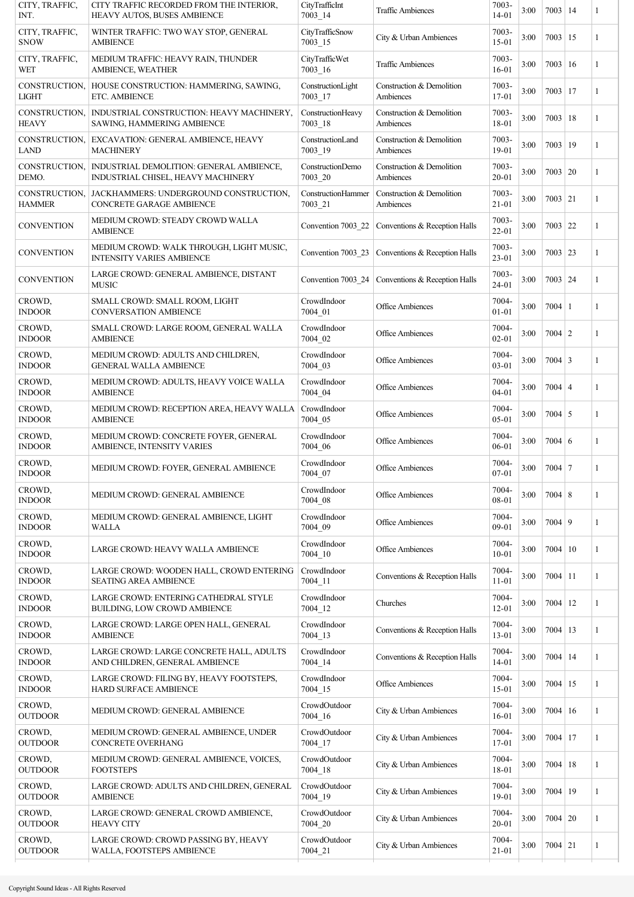| CITY, TRAFFIC,<br>INT.         | CITY TRAFFIC RECORDED FROM THE INTERIOR,<br>HEAVY AUTOS, BUSES AMBIENCE        | CityTrafficInt<br>$7003 - 14$  | <b>Traffic Ambiences</b>                           | 7003-<br>14-01     | 3:00 | $7003 \mid 14$ |     | 1 |
|--------------------------------|--------------------------------------------------------------------------------|--------------------------------|----------------------------------------------------|--------------------|------|----------------|-----|---|
| CITY, TRAFFIC,<br><b>SNOW</b>  | WINTER TRAFFIC: TWO WAY STOP, GENERAL<br><b>AMBIENCE</b>                       | CityTrafficSnow<br>$7003 - 15$ | City & Urban Ambiences                             | 7003-<br>$15-01$   | 3:00 | $7003 \mid 15$ |     | 1 |
| CITY, TRAFFIC,<br><b>WET</b>   | MEDIUM TRAFFIC: HEAVY RAIN, THUNDER<br><b>AMBIENCE, WEATHER</b>                | CityTrafficWet<br>$7003 - 16$  | <b>Traffic Ambiences</b>                           | 7003-<br>16-01     | 3:00 | $7003 \mid 16$ |     | 1 |
| CONSTRUCTION,<br><b>LIGHT</b>  | HOUSE CONSTRUCTION: HAMMERING, SAWING,<br>ETC. AMBIENCE                        | ConstructionLight<br>7003 17   | Construction & Demolition<br>Ambiences             | 7003-<br>17-01     | 3:00 | $7003$   17    |     | 1 |
| CONSTRUCTION,<br><b>HEAVY</b>  | INDUSTRIAL CONSTRUCTION: HEAVY MACHINERY,<br>SAWING, HAMMERING AMBIENCE        | ConstructionHeavy<br>7003 18   | Construction & Demolition<br>Ambiences             | 7003-<br>18-01     | 3:00 | 7003           | 18  | 1 |
| CONSTRUCTION,<br><b>LAND</b>   | EXCAVATION: GENERAL AMBIENCE, HEAVY<br><b>MACHINERY</b>                        | ConstructionLand<br>7003_19    | Construction & Demolition<br>Ambiences             | 7003-<br>19-01     | 3:00 | 7003           | 19  | 1 |
| CONSTRUCTION,<br>DEMO.         | INDUSTRIAL DEMOLITION: GENERAL AMBIENCE,<br>INDUSTRIAL CHISEL, HEAVY MACHINERY | ConstructionDemo<br>7003_20    | Construction & Demolition<br>Ambiences             | 7003-<br>$20 - 01$ | 3:00 | 7003   20      |     | 1 |
| CONSTRUCTION,<br><b>HAMMER</b> | JACKHAMMERS: UNDERGROUND CONSTRUCTION,<br>CONCRETE GARAGE AMBIENCE             | ConstructionHammer<br>7003 21  | Construction & Demolition<br>Ambiences             | 7003-<br>$21 - 01$ | 3:00 | $7003$   21    |     | 1 |
| <b>CONVENTION</b>              | MEDIUM CROWD: STEADY CROWD WALLA<br><b>AMBIENCE</b>                            | Convention 7003_22             | Conventions & Reception Halls                      | 7003-<br>22-01     | 3:00 | $7003$ 22      |     | 1 |
| <b>CONVENTION</b>              | MEDIUM CROWD: WALK THROUGH, LIGHT MUSIC,<br><b>INTENSITY VARIES AMBIENCE</b>   |                                | Convention 7003_23   Conventions & Reception Halls | 7003-<br>23-01     | 3:00 | $7003$   23    |     | 1 |
| <b>CONVENTION</b>              | LARGE CROWD: GENERAL AMBIENCE, DISTANT<br><b>MUSIC</b>                         |                                | Convention 7003 24   Conventions & Reception Halls | 7003-<br>24-01     | 3:00 | 7003   24      |     | 1 |
| CROWD,<br><b>INDOOR</b>        | SMALL CROWD: SMALL ROOM, LIGHT<br><b>CONVERSATION AMBIENCE</b>                 | CrowdIndoor<br>7004 01         | Office Ambiences                                   | 7004-<br>$01 - 01$ | 3:00 | $7004 \mid 1$  |     | 1 |
| CROWD,<br><b>INDOOR</b>        | SMALL CROWD: LARGE ROOM, GENERAL WALLA<br><b>AMBIENCE</b>                      | CrowdIndoor<br>7004 02         | <b>Office Ambiences</b>                            | 7004-<br>$02 - 01$ | 3:00 | $7004$   2     |     | 1 |
| CROWD,<br><b>INDOOR</b>        | MEDIUM CROWD: ADULTS AND CHILDREN,<br><b>GENERAL WALLA AMBIENCE</b>            | CrowdIndoor<br>7004_03         | <b>Office Ambiences</b>                            | 7004-<br>03-01     | 3:00 | $7004 \mid 3$  |     | 1 |
| CROWD,<br><b>INDOOR</b>        | MEDIUM CROWD: ADULTS, HEAVY VOICE WALLA<br><b>AMBIENCE</b>                     | CrowdIndoor<br>7004_04         | <b>Office Ambiences</b>                            | 7004-<br>$04 - 01$ | 3:00 | $7004 \mid 4$  |     | 1 |
| CROWD,<br><b>INDOOR</b>        | MEDIUM CROWD: RECEPTION AREA, HEAVY WALLA<br><b>AMBIENCE</b>                   | CrowdIndoor<br>7004_05         | <b>Office Ambiences</b>                            | 7004-<br>05-01     | 3:00 | $7004 \mid 5$  |     | 1 |
| CROWD,<br><b>INDOOR</b>        | MEDIUM CROWD: CONCRETE FOYER, GENERAL<br>AMBIENCE, INTENSITY VARIES            | CrowdIndoor<br>7004 06         | Office Ambiences                                   | 7004-<br>06-01     | 3:00 | $7004 \mid 6$  |     | 1 |
| CROWD,<br><b>INDOOR</b>        | MEDIUM CROWD: FOYER, GENERAL AMBIENCE                                          | CrowdIndoor<br>7004 07         | <b>Office Ambiences</b>                            | 7004-<br>07-01     | 3:00 | $7004$ 7       |     | 1 |
| CROWD,<br><b>INDOOR</b>        | MEDIUM CROWD: GENERAL AMBIENCE                                                 | CrowdIndoor<br>7004 08         | <b>Office Ambiences</b>                            | 7004-<br>08-01     | 3:00 | $7004$ 8       |     | 1 |
| CROWD,<br><b>INDOOR</b>        | MEDIUM CROWD: GENERAL AMBIENCE, LIGHT<br>WALLA                                 | CrowdIndoor<br>7004 09         | <b>Office Ambiences</b>                            | 7004-<br>09-01     | 3:00 | $7004$ 9       |     | 1 |
| CROWD,<br><b>INDOOR</b>        | LARGE CROWD: HEAVY WALLA AMBIENCE                                              | CrowdIndoor<br>$7004 - 10$     | Office Ambiences                                   | 7004-<br>$10 - 01$ | 3:00 | $7004 \mid 10$ |     | 1 |
| CROWD,<br><b>INDOOR</b>        | LARGE CROWD: WOODEN HALL, CROWD ENTERING<br><b>SEATING AREA AMBIENCE</b>       | CrowdIndoor<br>$7004 - 11$     | Conventions & Reception Halls                      | 7004-<br>$11 - 01$ | 3:00 | $7004$   11    |     | 1 |
| CROWD,<br><b>INDOOR</b>        | LARGE CROWD: ENTERING CATHEDRAL STYLE<br>BUILDING, LOW CROWD AMBIENCE          | CrowdIndoor<br>$7004 - 12$     | Churches                                           | 7004-<br>$12 - 01$ | 3:00 | $7004$   12    |     | 1 |
| CROWD,<br><b>INDOOR</b>        | LARGE CROWD: LARGE OPEN HALL, GENERAL<br><b>AMBIENCE</b>                       | CrowdIndoor<br>7004_13         | Conventions & Reception Halls                      | 7004-<br>13-01     | 3:00 | 7004           | 13  | 1 |
| CROWD,<br><b>INDOOR</b>        | LARGE CROWD: LARGE CONCRETE HALL, ADULTS<br>AND CHILDREN, GENERAL AMBIENCE     | CrowdIndoor<br>7004_14         | Conventions & Reception Halls                      | 7004-<br>14-01     | 3:00 | $7004$   14    |     | 1 |
| CROWD,<br><b>INDOOR</b>        | LARGE CROWD: FILING BY, HEAVY FOOTSTEPS,<br>HARD SURFACE AMBIENCE              | CrowdIndoor<br>7004 15         | Office Ambiences                                   | 7004-<br>15-01     | 3:00 | $7004$   15    |     | 1 |
| CROWD,<br><b>OUTDOOR</b>       | MEDIUM CROWD: GENERAL AMBIENCE                                                 | CrowdOutdoor<br>7004 16        | City & Urban Ambiences                             | 7004-<br>$16 - 01$ | 3:00 | 7004           | -16 | 1 |
| CROWD,<br><b>OUTDOOR</b>       | MEDIUM CROWD: GENERAL AMBIENCE, UNDER<br>CONCRETE OVERHANG                     | CrowdOutdoor<br>7004_17        | City & Urban Ambiences                             | 7004-<br>17-01     | 3:00 | 7004           | 17  | 1 |
| CROWD,<br><b>OUTDOOR</b>       | MEDIUM CROWD: GENERAL AMBIENCE, VOICES,<br><b>FOOTSTEPS</b>                    | CrowdOutdoor<br>$7004 - 18$    | City & Urban Ambiences                             | 7004-<br>18-01     | 3:00 | 7004           | 18  | 1 |
| CROWD,<br><b>OUTDOOR</b>       | LARGE CROWD: ADULTS AND CHILDREN, GENERAL<br><b>AMBIENCE</b>                   | CrowdOutdoor<br>$7004 - 19$    | City & Urban Ambiences                             | 7004-<br>19-01     | 3:00 | $7004$   19    |     | 1 |
| CROWD,<br><b>OUTDOOR</b>       | LARGE CROWD: GENERAL CROWD AMBIENCE,<br><b>HEAVY CITY</b>                      | CrowdOutdoor<br>7004 20        | City & Urban Ambiences                             | 7004-<br>$20 - 01$ | 3:00 | $7004 \mid 20$ |     | 1 |
| CROWD,<br><b>OUTDOOR</b>       | LARGE CROWD: CROWD PASSING BY, HEAVY<br>WALLA, FOOTSTEPS AMBIENCE              | CrowdOutdoor<br>7004_21        | City & Urban Ambiences                             | 7004-<br>$21 - 01$ | 3:00 | $7004$ 21      |     | 1 |
|                                |                                                                                |                                |                                                    |                    |      |                |     |   |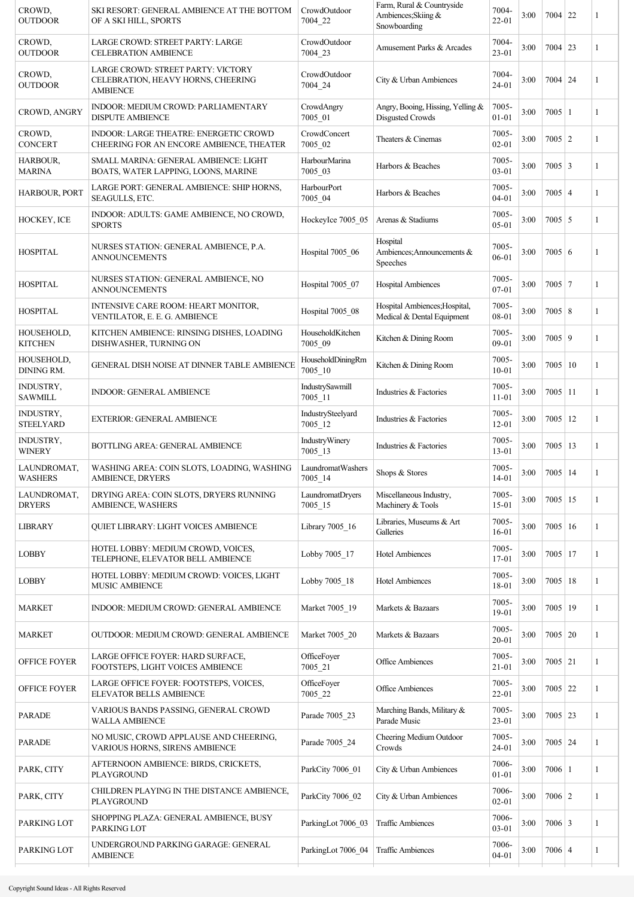| CROWD,<br><b>OUTDOOR</b>             | SKI RESORT: GENERAL AMBIENCE AT THE BOTTOM<br>OF A SKI HILL, SPORTS                         | CrowdOutdoor<br>7004 22          | Farm, Rural & Countryside<br>Ambiences; Skiing &<br>Snowboarding | 7004-<br>$22 - 01$ | 3:00 | $7004$ 22        | 1            |
|--------------------------------------|---------------------------------------------------------------------------------------------|----------------------------------|------------------------------------------------------------------|--------------------|------|------------------|--------------|
| CROWD.<br><b>OUTDOOR</b>             | LARGE CROWD: STREET PARTY: LARGE<br><b>CELEBRATION AMBIENCE</b>                             | CrowdOutdoor<br>7004 23          | Amusement Parks & Arcades                                        | 7004-<br>$23 - 01$ | 3:00 | $7004$ 23        | 1            |
| CROWD.<br><b>OUTDOOR</b>             | LARGE CROWD: STREET PARTY: VICTORY<br>CELEBRATION, HEAVY HORNS, CHEERING<br><b>AMBIENCE</b> | CrowdOutdoor<br>7004 24          | City & Urban Ambiences                                           | 7004-<br>$24 - 01$ | 3:00 | $7004$   24      | 1            |
| CROWD, ANGRY                         | INDOOR: MEDIUM CROWD: PARLIAMENTARY<br><b>DISPUTE AMBIENCE</b>                              | CrowdAngry<br>7005_01            | Angry, Booing, Hissing, Yelling &<br>Disgusted Crowds            | 7005-<br>$01 - 01$ | 3:00 | $7005 \mid 1$    | 1            |
| CROWD,<br><b>CONCERT</b>             | INDOOR: LARGE THEATRE: ENERGETIC CROWD<br>CHEERING FOR AN ENCORE AMBIENCE, THEATER          | CrowdConcert<br>7005 02          | Theaters & Cinemas                                               | 7005-<br>$02 - 01$ | 3:00 | $7005 \mid 2$    | 1            |
| <b>HARBOUR,</b><br><b>MARINA</b>     | SMALL MARINA: GENERAL AMBIENCE: LIGHT<br>BOATS, WATER LAPPING, LOONS, MARINE                | HarbourMarina<br>7005 03         | Harbors & Beaches                                                | 7005-<br>$03 - 01$ | 3:00 | $7005 \mid 3$    | 1            |
| HARBOUR, PORT                        | LARGE PORT: GENERAL AMBIENCE: SHIP HORNS,<br>SEAGULLS, ETC.                                 | HarbourPort<br>7005 04           | Harbors & Beaches                                                | 7005-<br>$04 - 01$ | 3:00 | $7005 \mid 4$    | 1            |
| HOCKEY, ICE                          | INDOOR: ADULTS: GAME AMBIENCE, NO CROWD,<br><b>SPORTS</b>                                   | HockeyIce 7005 05                | Arenas & Stadiums                                                | 7005-<br>05-01     | 3:00 | $7005 \mid 5$    | 1            |
| <b>HOSPITAL</b>                      | NURSES STATION: GENERAL AMBIENCE, P.A.<br><b>ANNOUNCEMENTS</b>                              | Hospital 7005_06                 | Hospital<br>Ambiences; Announcements &<br>Speeches               | 7005-<br>06-01     | 3:00 | $7005 \mid 6$    | 1            |
| <b>HOSPITAL</b>                      | NURSES STATION: GENERAL AMBIENCE, NO<br><b>ANNOUNCEMENTS</b>                                | Hospital 7005 07                 | <b>Hospital Ambiences</b>                                        | 7005-<br>07-01     | 3:00 | $7005$   7       | 1            |
| <b>HOSPITAL</b>                      | INTENSIVE CARE ROOM: HEART MONITOR,<br>VENTILATOR, E. E. G. AMBIENCE                        | Hospital 7005_08                 | Hospital Ambiences; Hospital,<br>Medical & Dental Equipment      | 7005-<br>08-01     | 3:00 | $7005 \,   \, 8$ | 1            |
| HOUSEHOLD,<br><b>KITCHEN</b>         | KITCHEN AMBIENCE: RINSING DISHES, LOADING<br>DISHWASHER, TURNING ON                         | HouseholdKitchen<br>7005_09      | Kitchen & Dining Room                                            | 7005-<br>09-01     | 3:00 | 7005 9           | 1            |
| HOUSEHOLD,<br><b>DINING RM.</b>      | GENERAL DISH NOISE AT DINNER TABLE AMBIENCE                                                 | HouseholdDiningRm<br>$7005 - 10$ | Kitchen & Dining Room                                            | 7005-<br>$10 - 01$ | 3:00 | $7005 \mid 10$   | 1            |
| INDUSTRY,<br><b>SAWMILL</b>          | <b>INDOOR: GENERAL AMBIENCE</b>                                                             | IndustrySawmill<br>7005 11       | Industries & Factories                                           | 7005-<br>$11 - 01$ | 3:00 | $7005$   11      | 1            |
| <b>INDUSTRY,</b><br><b>STEELYARD</b> | <b>EXTERIOR: GENERAL AMBIENCE</b>                                                           | IndustrySteelyard<br>7005 12     | Industries & Factories                                           | 7005-<br>$12 - 01$ | 3:00 | $7005$   12      | 1            |
| INDUSTRY,<br><b>WINERY</b>           | <b>BOTTLING AREA: GENERAL AMBIENCE</b>                                                      | IndustryWinery<br>7005 13        | Industries & Factories                                           | 7005-<br>$13 - 01$ | 3:00 | $7005$   13      | 1            |
| LAUNDROMAT,<br><b>WASHERS</b>        | WASHING AREA: COIN SLOTS, LOADING, WASHING<br><b>AMBIENCE DRYERS</b>                        | LaundromatWashers<br>$7005 - 14$ | Shops & Stores                                                   | 7005-<br>$14 - 01$ | 3:00 | $7005$   14      | 1            |
| LAUNDROMAT,<br><b>DRYERS</b>         | DRYING AREA: COIN SLOTS, DRYERS RUNNING<br><b>AMBIENCE, WASHERS</b>                         | LaundromatDryers<br>$7005 - 15$  | Miscellaneous Industry,<br>Machinery & Tools                     | 7005-<br>$15-01$   | 3:00 | $7005$ 15        | 1            |
| <b>LIBRARY</b>                       | QUIET LIBRARY: LIGHT VOICES AMBIENCE                                                        | Library 7005_16                  | Libraries, Museums & Art<br>Galleries                            | 7005-<br>$16 - 01$ | 3:00 | $7005 \mid 16$   | 1            |
| <b>LOBBY</b>                         | HOTEL LOBBY: MEDIUM CROWD, VOICES,<br>TELEPHONE, ELEVATOR BELL AMBIENCE                     | Lobby 7005 17                    | <b>Hotel Ambiences</b>                                           | 7005-<br>17-01     | 3:00 | $7005$   17      | 1            |
| <b>LOBBY</b>                         | HOTEL LOBBY: MEDIUM CROWD: VOICES, LIGHT<br><b>MUSIC AMBIENCE</b>                           | Lobby 7005_18                    | <b>Hotel Ambiences</b>                                           | 7005-<br>18-01     | 3:00 | $7005$   18      | 1            |
| <b>MARKET</b>                        | INDOOR: MEDIUM CROWD: GENERAL AMBIENCE                                                      | Market 7005 19                   | Markets & Bazaars                                                | 7005-<br>19-01     | 3:00 | $7005$   19      | 1            |
| <b>MARKET</b>                        | OUTDOOR: MEDIUM CROWD: GENERAL AMBIENCE                                                     | Market 7005 20                   | Markets & Bazaars                                                | 7005-<br>$20 - 01$ | 3:00 | $7005$ 20        | 1            |
| <b>OFFICE FOYER</b>                  | LARGE OFFICE FOYER: HARD SURFACE,<br>FOOTSTEPS, LIGHT VOICES AMBIENCE                       | OfficeFoyer<br>7005_21           | <b>Office Ambiences</b>                                          | 7005-<br>$21 - 01$ | 3:00 | $7005$ 21        | 1            |
| OFFICE FOYER                         | LARGE OFFICE FOYER: FOOTSTEPS, VOICES,<br><b>ELEVATOR BELLS AMBIENCE</b>                    | OfficeFoyer<br>7005 22           | Office Ambiences                                                 | 7005-<br>22-01     | 3:00 | $7005$ 22        | $\mathbf{1}$ |
| <b>PARADE</b>                        | VARIOUS BANDS PASSING, GENERAL CROWD<br><b>WALLA AMBIENCE</b>                               | Parade 7005_23                   | Marching Bands, Military &<br>Parade Music                       | 7005-<br>$23 - 01$ | 3:00 | $7005$ 23        | 1            |
| <b>PARADE</b>                        | NO MUSIC, CROWD APPLAUSE AND CHEERING,<br>VARIOUS HORNS, SIRENS AMBIENCE                    | Parade 7005_24                   | Cheering Medium Outdoor<br>Crowds                                | 7005-<br>24-01     | 3:00 | $7005$ 24        | 1            |
| PARK, CITY                           | AFTERNOON AMBIENCE: BIRDS, CRICKETS,<br>PLAYGROUND                                          | ParkCity 7006_01                 | City & Urban Ambiences                                           | 7006-<br>$01 - 01$ | 3:00 | $7006 \mid 1$    | 1            |
| PARK, CITY                           | CHILDREN PLAYING IN THE DISTANCE AMBIENCE,<br>PLAYGROUND                                    | ParkCity 7006 02                 | City & Urban Ambiences                                           | 7006-<br>$02 - 01$ | 3:00 | $7006 \mid 2$    | 1            |
| PARKING LOT                          | SHOPPING PLAZA: GENERAL AMBIENCE, BUSY<br>PARKING LOT                                       | ParkingLot 7006_03               | <b>Traffic Ambiences</b>                                         | 7006-<br>$03 - 01$ | 3:00 | $7006 \mid 3$    | 1            |
| PARKING LOT                          | UNDERGROUND PARKING GARAGE: GENERAL<br><b>AMBIENCE</b>                                      | ParkingLot 7006_04               | <b>Traffic Ambiences</b>                                         | 7006-<br>$04 - 01$ | 3:00 | $7006 \mid 4$    | 1            |
|                                      |                                                                                             |                                  |                                                                  |                    |      |                  |              |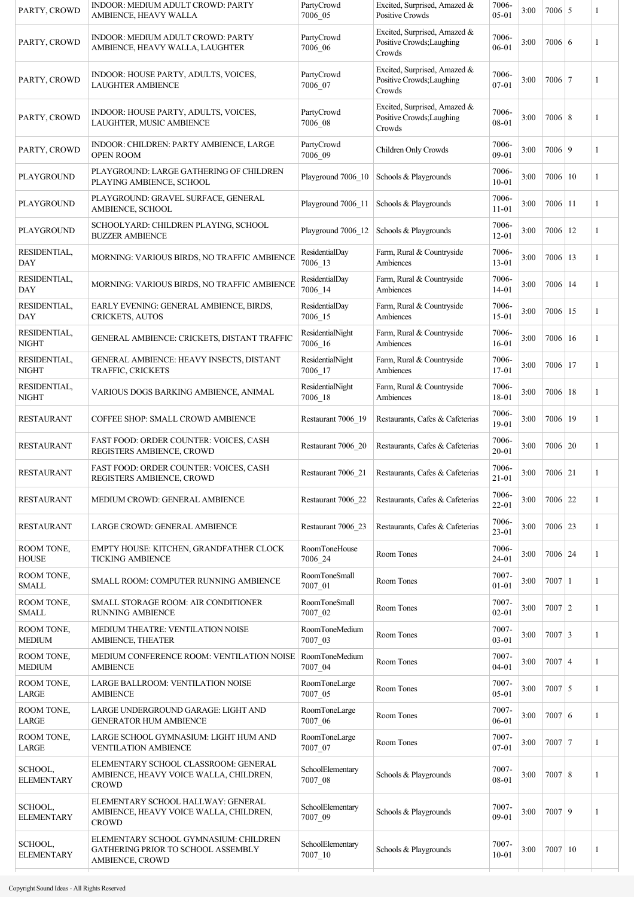| PARTY, CROWD                 | INDOOR: MEDIUM ADULT CROWD: PARTY<br>AMBIENCE, HEAVY WALLA                                     | PartyCrowd<br>7006 05           | Excited, Surprised, Amazed &<br>Positive Crowds                     | 7006-<br>$05-01$   | 3:00 | $7006 \mid 5$    | 1            |
|------------------------------|------------------------------------------------------------------------------------------------|---------------------------------|---------------------------------------------------------------------|--------------------|------|------------------|--------------|
| PARTY, CROWD                 | INDOOR: MEDIUM ADULT CROWD: PARTY<br>AMBIENCE, HEAVY WALLA, LAUGHTER                           | PartyCrowd<br>7006_06           | Excited, Surprised, Amazed &<br>Positive Crowds; Laughing<br>Crowds | 7006-<br>06-01     | 3:00 | $7006 \mid 6$    | 1            |
| PARTY, CROWD                 | INDOOR: HOUSE PARTY, ADULTS, VOICES,<br><b>LAUGHTER AMBIENCE</b>                               | PartyCrowd<br>7006_07           | Excited, Surprised, Amazed &<br>Positive Crowds; Laughing<br>Crowds | 7006-<br>$07 - 01$ | 3:00 | $7006$   7       | 1            |
| PARTY, CROWD                 | INDOOR: HOUSE PARTY, ADULTS, VOICES,<br>LAUGHTER, MUSIC AMBIENCE                               | PartyCrowd<br>7006 08           | Excited, Surprised, Amazed &<br>Positive Crowds; Laughing<br>Crowds | 7006-<br>08-01     | 3:00 | $7006 \,   \, 8$ | 1            |
| PARTY, CROWD                 | INDOOR: CHILDREN: PARTY AMBIENCE, LARGE<br><b>OPEN ROOM</b>                                    | PartyCrowd<br>7006 09           | Children Only Crowds                                                | 7006-<br>09-01     | 3:00 | 7006 9           | 1            |
| PLAYGROUND                   | PLAYGROUND: LARGE GATHERING OF CHILDREN<br>PLAYING AMBIENCE, SCHOOL                            | Playground 7006_10              | Schools & Playgrounds                                               | 7006-<br>$10 - 01$ | 3:00 | 7006 10          | $\mathbf{1}$ |
| PLAYGROUND                   | PLAYGROUND: GRAVEL SURFACE, GENERAL<br>AMBIENCE, SCHOOL                                        | Playground 7006_11              | Schools & Playgrounds                                               | 7006-<br>$11 - 01$ | 3:00 | $7006$   11      | 1            |
| <b>PLAYGROUND</b>            | SCHOOLYARD: CHILDREN PLAYING, SCHOOL<br><b>BUZZER AMBIENCE</b>                                 | Playground 7006 12              | Schools & Playgrounds                                               | 7006-<br>$12 - 01$ | 3:00 | $7006$   12      | 1            |
| RESIDENTIAL,<br><b>DAY</b>   | MORNING: VARIOUS BIRDS, NO TRAFFIC AMBIENCE                                                    | ResidentialDay<br>7006_13       | Farm, Rural & Countryside<br>Ambiences                              | 7006-<br>13-01     | 3:00 | $7006$   13      | 1            |
| RESIDENTIAL,<br><b>DAY</b>   | MORNING: VARIOUS BIRDS, NO TRAFFIC AMBIENCE                                                    | ResidentialDay<br>7006_14       | Farm, Rural & Countryside<br>Ambiences                              | 7006-<br>$14 - 01$ | 3:00 | $7006 \mid 14$   | 1            |
| RESIDENTIAL,<br>DAY          | EARLY EVENING: GENERAL AMBIENCE, BIRDS,<br>CRICKETS, AUTOS                                     | ResidentialDay<br>7006_15       | Farm, Rural & Countryside<br>Ambiences                              | 7006-<br>$15 - 01$ | 3:00 | 7006   15        | 1            |
| RESIDENTIAL,<br><b>NIGHT</b> | GENERAL AMBIENCE: CRICKETS, DISTANT TRAFFIC                                                    | ResidentialNight<br>7006_16     | Farm, Rural & Countryside<br>Ambiences                              | 7006-<br>$16 - 01$ | 3:00 | 7006 16          | 1            |
| RESIDENTIAL,<br><b>NIGHT</b> | GENERAL AMBIENCE: HEAVY INSECTS, DISTANT<br>TRAFFIC, CRICKETS                                  | ResidentialNight<br>$7006 - 17$ | Farm, Rural & Countryside<br>Ambiences                              | 7006-<br>17-01     | 3:00 | 7006 17          | 1            |
| RESIDENTIAL,<br><b>NIGHT</b> | VARIOUS DOGS BARKING AMBIENCE, ANIMAL                                                          | ResidentialNight<br>7006 18     | Farm, Rural & Countryside<br>Ambiences                              | 7006-<br>18-01     | 3:00 | $7006$   18      | 1            |
| <b>RESTAURANT</b>            | COFFEE SHOP: SMALL CROWD AMBIENCE                                                              | Restaurant 7006 19              | Restaurants, Cafes & Cafeterias                                     | 7006-<br>19-01     | 3:00 | $7006$   19      | $\mathbf{1}$ |
| <b>RESTAURANT</b>            | <b>FAST FOOD: ORDER COUNTER: VOICES, CASH</b><br>REGISTERS AMBIENCE, CROWD                     | Restaurant 7006 20              | Restaurants, Cafes & Cafeterias                                     | 7006-<br>$20 - 01$ | 3:00 | $7006 \mid 20$   | 1            |
| <b>RESTAURANT</b>            | <b>FAST FOOD: ORDER COUNTER: VOICES, CASH</b><br>REGISTERS AMBIENCE, CROWD                     | Restaurant 7006 21              | Restaurants, Cafes & Cafeterias                                     | 7006-<br>$21 - 01$ | 3:00 | $7006 \mid 21$   | 1            |
| <b>RESTAURANT</b>            | MEDIUM CROWD: GENERAL AMBIENCE                                                                 | Restaurant 7006 22              | Restaurants, Cafes & Cafeterias                                     | 7006-<br>$22 - 01$ | 3:00 | $7006$ 22        | 1            |
| <b>RESTAURANT</b>            | LARGE CROWD: GENERAL AMBIENCE                                                                  | Restaurant 7006 23              | Restaurants, Cafes & Cafeterias                                     | 7006-<br>$23 - 01$ | 3:00 | $7006$ 23        | 1            |
| ROOM TONE,<br><b>HOUSE</b>   | EMPTY HOUSE: KITCHEN, GRANDFATHER CLOCK<br><b>TICKING AMBIENCE</b>                             | RoomToneHouse<br>7006_24        | Room Tones                                                          | 7006-<br>24-01     | 3:00 | $7006$ 24        | 1            |
| ROOM TONE,<br><b>SMALL</b>   | SMALL ROOM: COMPUTER RUNNING AMBIENCE                                                          | RoomToneSmall<br>7007_01        | Room Tones                                                          | 7007-<br>$01 - 01$ | 3:00 | $7007$   1       | 1            |
| ROOM TONE,<br><b>SMALL</b>   | SMALL STORAGE ROOM: AIR CONDITIONER<br><b>RUNNING AMBIENCE</b>                                 | RoomToneSmall<br>7007_02        | Room Tones                                                          | 7007-<br>$02 - 01$ | 3:00 | $7007$   2       | 1            |
| ROOM TONE,<br><b>MEDIUM</b>  | MEDIUM THEATRE: VENTILATION NOISE<br>AMBIENCE, THEATER                                         | RoomToneMedium<br>7007_03       | Room Tones                                                          | 7007-<br>$03 - 01$ | 3:00 | $7007 \mid 3$    | 1            |
| ROOM TONE,<br><b>MEDIUM</b>  | MEDIUM CONFERENCE ROOM: VENTILATION NOISE<br><b>AMBIENCE</b>                                   | RoomToneMedium<br>7007_04       | Room Tones                                                          | 7007-<br>$04 - 01$ | 3:00 | $7007 \mid 4$    | 1            |
| ROOM TONE,<br>LARGE          | LARGE BALLROOM: VENTILATION NOISE<br><b>AMBIENCE</b>                                           | RoomToneLarge<br>7007_05        | Room Tones                                                          | 7007-<br>$05 - 01$ | 3:00 | $7007 \mid 5$    | 1            |
| ROOM TONE,<br>LARGE          | LARGE UNDERGROUND GARAGE: LIGHT AND<br><b>GENERATOR HUM AMBIENCE</b>                           | RoomToneLarge<br>7007_06        | Room Tones                                                          | 7007-<br>06-01     | 3:00 | 7007 6           | 1            |
| ROOM TONE,<br>LARGE          | LARGE SCHOOL GYMNASIUM: LIGHT HUM AND<br><b>VENTILATION AMBIENCE</b>                           | RoomToneLarge<br>7007 07        | Room Tones                                                          | 7007-<br>$07 - 01$ | 3:00 | $7007$ 7         | 1            |
| SCHOOL,<br><b>ELEMENTARY</b> | ELEMENTARY SCHOOL CLASSROOM: GENERAL<br>AMBIENCE, HEAVY VOICE WALLA, CHILDREN,<br><b>CROWD</b> | SchoolElementary<br>7007_08     | Schools & Playgrounds                                               | 7007-<br>08-01     | 3:00 | $7007 \,   \, 8$ | 1            |
| SCHOOL,<br><b>ELEMENTARY</b> | ELEMENTARY SCHOOL HALLWAY: GENERAL<br>AMBIENCE, HEAVY VOICE WALLA, CHILDREN,<br><b>CROWD</b>   | SchoolElementary<br>7007_09     | Schools & Playgrounds                                               | 7007-<br>09-01     | 3:00 | $7007$   9       | 1            |
| SCHOOL,<br><b>ELEMENTARY</b> | ELEMENTARY SCHOOL GYMNASIUM: CHILDREN<br>GATHERING PRIOR TO SCHOOL ASSEMBLY<br>AMBIENCE, CROWD | SchoolElementary<br>$7007 - 10$ | Schools & Playgrounds                                               | 7007-<br>$10 - 01$ | 3:00 | 7007 10          | 1            |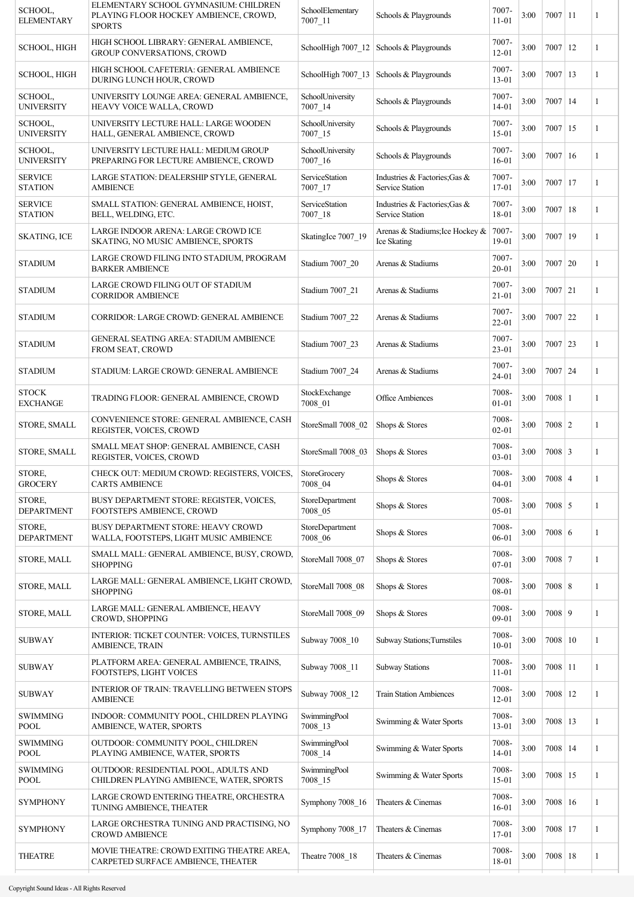| SCHOOL,<br><b>ELEMENTARY</b>     | ELEMENTARY SCHOOL GYMNASIUM: CHILDREN<br>PLAYING FLOOR HOCKEY AMBIENCE, CROWD,<br><b>SPORTS</b> | SchoolElementary<br>$7007 - 11$ | Schools & Playgrounds                                   | 7007-<br>$11 - 01$ | 3:00 | $7007$   11 |    | 1 |
|----------------------------------|-------------------------------------------------------------------------------------------------|---------------------------------|---------------------------------------------------------|--------------------|------|-------------|----|---|
| SCHOOL, HIGH                     | HIGH SCHOOL LIBRARY: GENERAL AMBIENCE,<br>GROUP CONVERSATIONS, CROWD                            |                                 | SchoolHigh 7007_12 Schools & Playgrounds                | 7007-<br>$12 - 01$ | 3:00 | $7007$   12 |    | 1 |
| SCHOOL, HIGH                     | HIGH SCHOOL CAFETERIA: GENERAL AMBIENCE<br>DURING LUNCH HOUR, CROWD                             |                                 | SchoolHigh 7007_13   Schools & Playgrounds              | 7007-<br>13-01     | 3:00 | $7007$   13 |    | 1 |
| SCHOOL,<br><b>UNIVERSITY</b>     | UNIVERSITY LOUNGE AREA: GENERAL AMBIENCE,<br>HEAVY VOICE WALLA, CROWD                           | SchoolUniversity<br>$7007 - 14$ | Schools & Playgrounds                                   | 7007-<br>$14 - 01$ | 3:00 | $7007$   14 |    | 1 |
| SCHOOL,<br><b>UNIVERSITY</b>     | UNIVERSITY LECTURE HALL: LARGE WOODEN<br>HALL, GENERAL AMBIENCE, CROWD                          | SchoolUniversity<br>$7007 - 15$ | Schools & Playgrounds                                   | 7007-<br>$15-01$   | 3:00 | $7007$   15 |    | 1 |
| SCHOOL,<br><b>UNIVERSITY</b>     | UNIVERSITY LECTURE HALL: MEDIUM GROUP<br>PREPARING FOR LECTURE AMBIENCE, CROWD                  | SchoolUniversity<br>$7007 - 16$ | Schools & Playgrounds                                   | 7007-<br>16-01     | 3:00 | $7007$   16 |    | 1 |
| <b>SERVICE</b><br><b>STATION</b> | LARGE STATION: DEALERSHIP STYLE, GENERAL<br><b>AMBIENCE</b>                                     | ServiceStation<br>7007 17       | Industries & Factories; Gas &<br>Service Station        | 7007-<br>17-01     | 3:00 | $7007$   17 |    | 1 |
| <b>SERVICE</b><br><b>STATION</b> | SMALL STATION: GENERAL AMBIENCE, HOIST,<br>BELL, WELDING, ETC.                                  | ServiceStation<br>$7007 - 18$   | Industries & Factories; Gas &<br><b>Service Station</b> | 7007-<br>18-01     | 3:00 | $7007$   18 |    | 1 |
| <b>SKATING, ICE</b>              | LARGE INDOOR ARENA: LARGE CROWD ICE<br>SKATING, NO MUSIC AMBIENCE, SPORTS                       | SkatingIce 7007 19              | Arenas & Stadiums; Ice Hockey &<br>Ice Skating          | 7007-<br>19-01     | 3:00 | 7007        | 19 | 1 |
| <b>STADIUM</b>                   | LARGE CROWD FILING INTO STADIUM, PROGRAM<br><b>BARKER AMBIENCE</b>                              | Stadium 7007_20                 | Arenas & Stadiums                                       | 7007-<br>$20 - 01$ | 3:00 | 7007   20   |    | 1 |
| <b>STADIUM</b>                   | LARGE CROWD FILING OUT OF STADIUM<br><b>CORRIDOR AMBIENCE</b>                                   | Stadium 7007_21                 | Arenas & Stadiums                                       | 7007-<br>$21 - 01$ | 3:00 | $7007$ 21   |    | 1 |
| <b>STADIUM</b>                   | CORRIDOR: LARGE CROWD: GENERAL AMBIENCE                                                         | Stadium 7007_22                 | Arenas & Stadiums                                       | 7007-<br>22-01     | 3:00 | $7007$ 22   |    | 1 |
| <b>STADIUM</b>                   | <b>GENERAL SEATING AREA: STADIUM AMBIENCE</b><br>FROM SEAT, CROWD                               | Stadium 7007_23                 | Arenas & Stadiums                                       | 7007-<br>23-01     | 3:00 | $7007$ 23   |    | 1 |
| <b>STADIUM</b>                   | STADIUM: LARGE CROWD: GENERAL AMBIENCE                                                          | Stadium 7007 24                 | Arenas & Stadiums                                       | 7007-<br>24-01     | 3:00 | $7007$   24 |    | 1 |
| <b>STOCK</b><br><b>EXCHANGE</b>  | TRADING FLOOR: GENERAL AMBIENCE, CROWD                                                          | StockExchange<br>7008_01        | Office Ambiences                                        | 7008-<br>01-01     | 3:00 | $7008$   1  |    | 1 |
| STORE, SMALL                     | CONVENIENCE STORE: GENERAL AMBIENCE, CASH<br>REGISTER, VOICES, CROWD                            | StoreSmall 7008_02              | Shops & Stores                                          | 7008-<br>$02 - 01$ | 3:00 | $7008$   2  |    | 1 |
| STORE, SMALL                     | SMALL MEAT SHOP: GENERAL AMBIENCE, CASH<br>REGISTER, VOICES, CROWD                              | StoreSmall 7008_03              | Shops & Stores                                          | 7008-<br>$03 - 01$ | 3:00 | $7008$ 3    |    | 1 |
| STORE.<br><b>GROCERY</b>         | CHECK OUT: MEDIUM CROWD: REGISTERS, VOICES,<br><b>CARTS AMBIENCE</b>                            | <b>StoreGrocery</b><br>7008_04  | Shops & Stores                                          | 7008-<br>$04 - 01$ | 3:00 | $7008$ 4    |    | 1 |
| STORE,<br><b>DEPARTMENT</b>      | BUSY DEPARTMENT STORE: REGISTER, VOICES,<br>FOOTSTEPS AMBIENCE, CROWD                           | StoreDepartment<br>7008_05      | Shops & Stores                                          | 7008-<br>05-01     | 3:00 | $7008$ 5    |    | 1 |
| STORE,<br><b>DEPARTMENT</b>      | BUSY DEPARTMENT STORE: HEAVY CROWD<br>WALLA, FOOTSTEPS, LIGHT MUSIC AMBIENCE                    | StoreDepartment<br>7008_06      | Shops & Stores                                          | 7008-<br>06-01     | 3:00 | 7008   6    |    | 1 |
| STORE, MALL                      | SMALL MALL: GENERAL AMBIENCE, BUSY, CROWD,<br><b>SHOPPING</b>                                   | StoreMall 7008 07               | Shops & Stores                                          | 7008-<br>07-01     | 3:00 | $7008$   7  |    | 1 |
| STORE, MALL                      | LARGE MALL: GENERAL AMBIENCE, LIGHT CROWD,<br><b>SHOPPING</b>                                   | StoreMall 7008 08               | Shops & Stores                                          | 7008-<br>08-01     | 3:00 | $7008$ 8    |    | 1 |
| STORE, MALL                      | LARGE MALL: GENERAL AMBIENCE, HEAVY<br><b>CROWD, SHOPPING</b>                                   | StoreMall 7008 09               | Shops & Stores                                          | 7008-<br>09-01     | 3:00 | 7008 9      |    | 1 |
| <b>SUBWAY</b>                    | INTERIOR: TICKET COUNTER: VOICES, TURNSTILES<br>AMBIENCE, TRAIN                                 | Subway 7008 10                  | <b>Subway Stations; Turnstiles</b>                      | 7008-<br>$10 - 01$ | 3:00 | $7008$   10 |    | 1 |
| <b>SUBWAY</b>                    | PLATFORM AREA: GENERAL AMBIENCE, TRAINS,<br>FOOTSTEPS, LIGHT VOICES                             | Subway 7008_11                  | <b>Subway Stations</b>                                  | 7008-<br>$11 - 01$ | 3:00 | 7008 11     |    | 1 |
| <b>SUBWAY</b>                    | <b>INTERIOR OF TRAIN: TRAVELLING BETWEEN STOPS</b><br><b>AMBIENCE</b>                           | Subway 7008_12                  | <b>Train Station Ambiences</b>                          | 7008-<br>$12 - 01$ | 3:00 | 7008   12   |    | 1 |
| <b>SWIMMING</b><br><b>POOL</b>   | INDOOR: COMMUNITY POOL, CHILDREN PLAYING<br>AMBIENCE, WATER, SPORTS                             | SwimmingPool<br>7008_13         | Swimming & Water Sports                                 | 7008-<br>13-01     | 3:00 | 7008   13   |    | 1 |
| <b>SWIMMING</b><br><b>POOL</b>   | OUTDOOR: COMMUNITY POOL, CHILDREN<br>PLAYING AMBIENCE, WATER, SPORTS                            | SwimmingPool<br>$7008 - 14$     | Swimming & Water Sports                                 | 7008-<br>14-01     | 3:00 | 7008   14   |    | 1 |
| <b>SWIMMING</b><br><b>POOL</b>   | OUTDOOR: RESIDENTIAL POOL, ADULTS AND<br>CHILDREN PLAYING AMBIENCE, WATER, SPORTS               | SwimmingPool<br>7008_15         | Swimming & Water Sports                                 | 7008-<br>$15 - 01$ | 3:00 | $7008$   15 |    | 1 |
| <b>SYMPHONY</b>                  | LARGE CROWD ENTERING THEATRE, ORCHESTRA<br>TUNING AMBIENCE, THEATER                             | Symphony 7008 16                | Theaters & Cinemas                                      | 7008-<br>$16 - 01$ | 3:00 | $7008$   16 |    | 1 |
| <b>SYMPHONY</b>                  | LARGE ORCHESTRA TUNING AND PRACTISING, NO<br><b>CROWD AMBIENCE</b>                              | Symphony 7008 17                | Theaters & Cinemas                                      | 7008-<br>17-01     | 3:00 | 7008   17   |    | 1 |
| <b>THEATRE</b>                   | MOVIE THEATRE: CROWD EXITING THEATRE AREA,<br>CARPETED SURFACE AMBIENCE, THEATER                | Theatre 7008 18                 | Theaters & Cinemas                                      | 7008-<br>18-01     | 3:00 | $7008$   18 |    | 1 |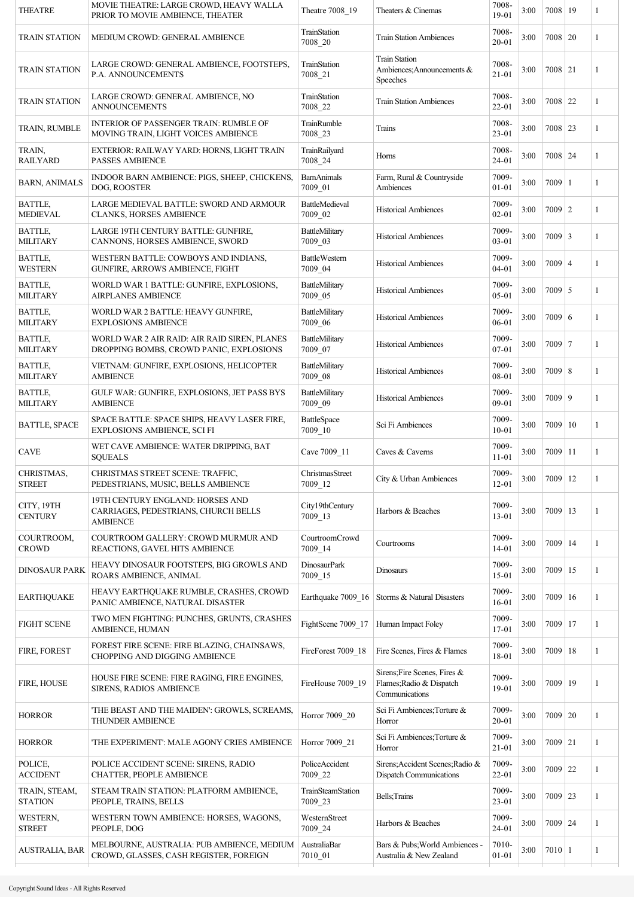| <b>THEATRE</b>                     | MOVIE THEATRE: LARGE CROWD, HEAVY WALLA<br>PRIOR TO MOVIE AMBIENCE, THEATER                 | Theatre 7008 19                  | Theaters & Cinemas                                                         | 7008-<br>$19-01$   | 3:00 | 7008 19        | 1            |
|------------------------------------|---------------------------------------------------------------------------------------------|----------------------------------|----------------------------------------------------------------------------|--------------------|------|----------------|--------------|
| <b>TRAIN STATION</b>               | MEDIUM CROWD: GENERAL AMBIENCE                                                              | TrainStation<br>7008_20          | <b>Train Station Ambiences</b>                                             | 7008-<br>$20 - 01$ | 3:00 | 7008   20      | 1            |
| <b>TRAIN STATION</b>               | LARGE CROWD: GENERAL AMBIENCE, FOOTSTEPS.<br>P.A. ANNOUNCEMENTS                             | TrainStation<br>7008 21          | <b>Train Station</b><br>Ambiences; Announcements &<br>Speeches             | 7008-<br>$21 - 01$ | 3:00 | $7008$   21    | 1            |
| <b>TRAIN STATION</b>               | LARGE CROWD: GENERAL AMBIENCE, NO<br><b>ANNOUNCEMENTS</b>                                   | TrainStation<br>7008_22          | <b>Train Station Ambiences</b>                                             | 7008-<br>22-01     | 3:00 | $7008$   22    | 1            |
| TRAIN, RUMBLE                      | <b>INTERIOR OF PASSENGER TRAIN: RUMBLE OF</b><br>MOVING TRAIN, LIGHT VOICES AMBIENCE        | TrainRumble<br>7008_23           | Trains                                                                     | 7008-<br>23-01     | 3:00 | $7008$ 23      | 1            |
| TRAIN,<br><b>RAILYARD</b>          | EXTERIOR: RAILWAY YARD: HORNS, LIGHT TRAIN<br><b>PASSES AMBIENCE</b>                        | TrainRailyard<br>7008_24         | Horns                                                                      | 7008-<br>24-01     | 3:00 | $7008$   24    | 1            |
| <b>BARN, ANIMALS</b>               | INDOOR BARN AMBIENCE: PIGS, SHEEP, CHICKENS,<br>DOG, ROOSTER                                | <b>BarnAnimals</b><br>7009_01    | Farm, Rural & Countryside<br>Ambiences                                     | 7009-<br>$01 - 01$ | 3:00 | $7009$   1     | 1            |
| <b>BATTLE,</b><br><b>MEDIEVAL</b>  | LARGE MEDIEVAL BATTLE: SWORD AND ARMOUR<br><b>CLANKS, HORSES AMBIENCE</b>                   | <b>BattleMedieval</b><br>7009_02 | <b>Historical Ambiences</b>                                                | 7009-<br>$02 - 01$ | 3:00 | $7009$   2     | 1            |
| <b>BATTLE,</b><br><b>MILITARY</b>  | LARGE 19TH CENTURY BATTLE: GUNFIRE,<br>CANNONS, HORSES AMBIENCE, SWORD                      | BattleMilitary<br>7009_03        | <b>Historical Ambiences</b>                                                | 7009-<br>03-01     | 3:00 | $7009 \mid 3$  | 1            |
| <b>BATTLE,</b><br><b>WESTERN</b>   | WESTERN BATTLE: COWBOYS AND INDIANS,<br>GUNFIRE, ARROWS AMBIENCE, FIGHT                     | <b>BattleWestern</b><br>7009_04  | <b>Historical Ambiences</b>                                                | 7009-<br>$04 - 01$ | 3:00 | $7009$   4     | 1            |
| <b>BATTLE,</b><br><b>MILITARY</b>  | WORLD WAR 1 BATTLE: GUNFIRE, EXPLOSIONS,<br><b>AIRPLANES AMBIENCE</b>                       | BattleMilitary<br>7009_05        | <b>Historical Ambiences</b>                                                | 7009-<br>05-01     | 3:00 | $7009 \mid 5$  | 1            |
| BATTLE,<br><b>MILITARY</b>         | WORLD WAR 2 BATTLE: HEAVY GUNFIRE,<br><b>EXPLOSIONS AMBIENCE</b>                            | BattleMilitary<br>7009_06        | <b>Historical Ambiences</b>                                                | 7009-<br>06-01     | 3:00 | $7009 \mid 6$  | 1            |
| <b>BATTLE,</b><br><b>MILITARY</b>  | WORLD WAR 2 AIR RAID: AIR RAID SIREN, PLANES<br>DROPPING BOMBS, CROWD PANIC, EXPLOSIONS     | BattleMilitary<br>7009_07        | <b>Historical Ambiences</b>                                                | 7009-<br>$07-01$   | 3:00 | $7009$   7     | 1            |
| <b>BATTLE,</b><br><b>MILITARY</b>  | VIETNAM: GUNFIRE, EXPLOSIONS, HELICOPTER<br><b>AMBIENCE</b>                                 | BattleMilitary<br>7009_08        | <b>Historical Ambiences</b>                                                | 7009-<br>08-01     | 3:00 | $7009$ 8       | 1            |
| BATTLE,<br><b>MILITARY</b>         | GULF WAR: GUNFIRE, EXPLOSIONS, JET PASS BYS<br><b>AMBIENCE</b>                              | BattleMilitary<br>7009_09        | <b>Historical Ambiences</b>                                                | 7009-<br>09-01     | 3:00 | $7009$   9     | 1            |
| <b>BATTLE, SPACE</b>               | SPACE BATTLE: SPACE SHIPS, HEAVY LASER FIRE,<br><b>EXPLOSIONS AMBIENCE, SCI FI</b>          | <b>BattleSpace</b><br>7009_10    | Sci Fi Ambiences                                                           | 7009-<br>$10 - 01$ | 3:00 | $7009 \mid 10$ | $\mathbf{1}$ |
| <b>CAVE</b>                        | WET CAVE AMBIENCE: WATER DRIPPING, BAT<br><b>SQUEALS</b>                                    | Cave 7009 11                     | Caves & Caverns                                                            | 7009-<br>$11 - 01$ | 3:00 | $7009$   11    | 1            |
| <b>CHRISTMAS,</b><br><b>STREET</b> | CHRISTMAS STREET SCENE: TRAFFIC,<br>PEDESTRIANS, MUSIC, BELLS AMBIENCE                      | ChristmasStreet<br>7009_12       | City & Urban Ambiences                                                     | 7009-<br>$12 - 01$ | 3:00 | $7009$ 12      | 1            |
| CITY, 19TH<br><b>CENTURY</b>       | 19TH CENTURY ENGLAND: HORSES AND<br>CARRIAGES, PEDESTRIANS, CHURCH BELLS<br><b>AMBIENCE</b> | City19thCentury<br>7009_13       | Harbors & Beaches                                                          | 7009-<br>$13 - 01$ | 3:00 | $7009$   13    | 1            |
| COURTROOM,<br><b>CROWD</b>         | COURTROOM GALLERY: CROWD MURMUR AND<br>REACTIONS, GAVEL HITS AMBIENCE                       | CourtroomCrowd<br>7009_14        | Courtrooms                                                                 | 7009-<br>$14 - 01$ | 3:00 | $7009$   14    | 1            |
| <b>DINOSAUR PARK</b>               | HEAVY DINOSAUR FOOTSTEPS, BIG GROWLS AND<br>ROARS AMBIENCE, ANIMAL                          | <b>DinosaurPark</b><br>7009_15   | Dinosaurs                                                                  | 7009-<br>15-01     | 3:00 | $7009$   15    | 1            |
| <b>EARTHQUAKE</b>                  | HEAVY EARTHQUAKE RUMBLE, CRASHES, CROWD<br>PANIC AMBIENCE, NATURAL DISASTER                 | Earthquake 7009_16               | Storms & Natural Disasters                                                 | 7009-<br>$16 - 01$ | 3:00 | $7009$   16    | 1            |
| <b>FIGHT SCENE</b>                 | TWO MEN FIGHTING: PUNCHES, GRUNTS, CRASHES<br>AMBIENCE, HUMAN                               | FightScene 7009_17               | Human Impact Foley                                                         | 7009-<br>17-01     | 3:00 | 7009 17        | 1            |
| <b>FIRE, FOREST</b>                | FOREST FIRE SCENE: FIRE BLAZING, CHAINSAWS,<br>CHOPPING AND DIGGING AMBIENCE                | FireForest 7009_18               | Fire Scenes, Fires & Flames                                                | 7009-<br>18-01     | 3:00 | $7009$   18    | 1            |
| FIRE, HOUSE                        | HOUSE FIRE SCENE: FIRE RAGING, FIRE ENGINES,<br>SIRENS, RADIOS AMBIENCE                     | FireHouse 7009_19                | Sirens; Fire Scenes, Fires &<br>Flames; Radio & Dispatch<br>Communications | 7009-<br>19-01     | 3:00 | $7009$   19    | 1            |
| <b>HORROR</b>                      | 'THE BEAST AND THE MAIDEN': GROWLS, SCREAMS,<br><b>THUNDER AMBIENCE</b>                     | Horror 7009_20                   | Sci Fi Ambiences; Torture &<br>Horror                                      | 7009-<br>$20 - 01$ | 3:00 | $7009$ 20      | 1            |
| <b>HORROR</b>                      | 'THE EXPERIMENT': MALE AGONY CRIES AMBIENCE                                                 | Horror 7009 21                   | Sci Fi Ambiences; Torture &<br>Horror                                      | 7009-<br>$21 - 01$ | 3:00 | $7009$ 21      | 1            |
| POLICE,<br><b>ACCIDENT</b>         | POLICE ACCIDENT SCENE: SIRENS, RADIO<br>CHATTER, PEOPLE AMBIENCE                            | PoliceAccident<br>7009 22        | Sirens; Accident Scenes; Radio &<br>Dispatch Communications                | 7009-<br>22-01     | 3:00 | $7009$ 22      | 1            |
| TRAIN, STEAM,<br><b>STATION</b>    | STEAM TRAIN STATION: PLATFORM AMBIENCE,<br>PEOPLE, TRAINS, BELLS                            | TrainSteamStation<br>7009_23     | Bells; Trains                                                              | 7009-<br>23-01     | 3:00 | 7009 23        | 1            |
| WESTERN,<br><b>STREET</b>          | WESTERN TOWN AMBIENCE: HORSES, WAGONS,<br>PEOPLE, DOG                                       | WesternStreet<br>7009_24         | Harbors & Beaches                                                          | 7009-<br>24-01     | 3:00 | $7009$ 24      | 1            |
| <b>AUSTRALIA, BAR</b>              | MELBOURNE, AUSTRALIA: PUB AMBIENCE, MEDIUM<br>CROWD, GLASSES, CASH REGISTER, FOREIGN        | AustraliaBar<br>$7010_01$        | Bars & Pubs; World Ambiences -<br>Australia & New Zealand                  | 7010-<br>$01 - 01$ | 3:00 | 7010 1         | 1            |
|                                    |                                                                                             |                                  |                                                                            |                    |      |                |              |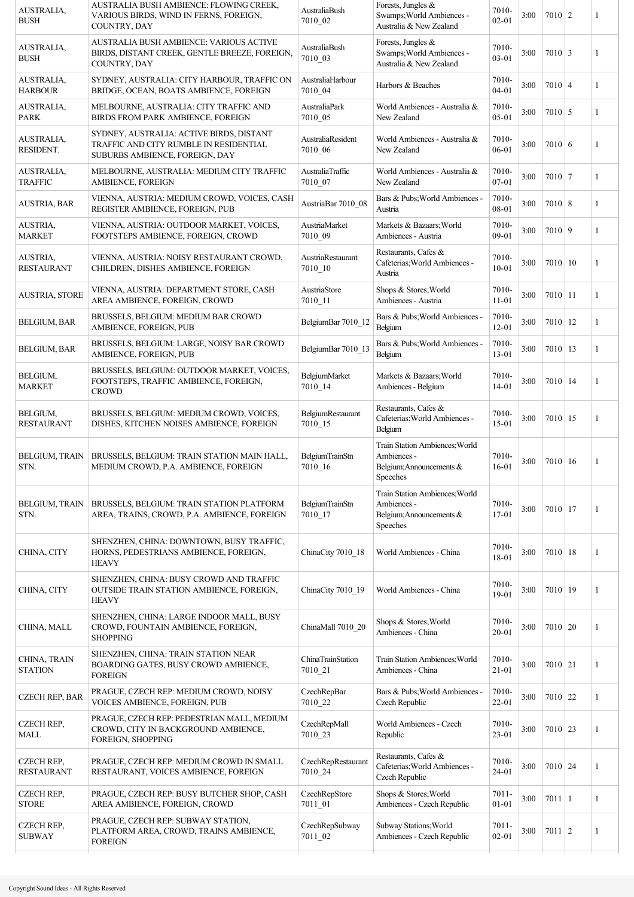| AUSTRALIA,<br><b>BUSH</b>              | AUSTRALIA BUSH AMBIENCE: FLOWING CREEK,<br>VARIOUS BIRDS, WIND IN FERNS, FOREIGN,<br>COUNTRY, DAY                    | AustraliaBush<br>7010_02          | Forests, Jungles &<br>Swamps; World Ambiences -<br>Australia & New Zealand            | 7010-<br>$02 - 01$    | 3:00 | $7010$   2       | 1 |
|----------------------------------------|----------------------------------------------------------------------------------------------------------------------|-----------------------------------|---------------------------------------------------------------------------------------|-----------------------|------|------------------|---|
| AUSTRALIA,<br><b>BUSH</b>              | AUSTRALIA BUSH AMBIENCE: VARIOUS ACTIVE<br>BIRDS, DISTANT CREEK, GENTLE BREEZE, FOREIGN,<br>COUNTRY, DAY             | AustraliaBush<br>7010_03          | Forests, Jungles &<br>Swamps; World Ambiences -<br>Australia & New Zealand            | 7010-<br>03-01        | 3:00 | $7010 \mid 3$    | 1 |
| AUSTRALIA,<br><b>HARBOUR</b>           | SYDNEY, AUSTRALIA: CITY HARBOUR, TRAFFIC ON<br>BRIDGE, OCEAN, BOATS AMBIENCE, FOREIGN                                | AustraliaHarbour<br>7010 04       | Harbors & Beaches                                                                     | 7010-<br>$04 - 01$    | 3:00 | $7010 \mid 4$    | 1 |
| AUSTRALIA,<br><b>PARK</b>              | MELBOURNE, AUSTRALIA: CITY TRAFFIC AND<br>BIRDS FROM PARK AMBIENCE, FOREIGN                                          | AustraliaPark<br>7010 05          | World Ambiences - Australia &<br>New Zealand                                          | 7010-<br>$05 - 01$    | 3:00 | $7010 \mid 5$    | 1 |
| AUSTRALIA,<br>RESIDENT.                | SYDNEY, AUSTRALIA: ACTIVE BIRDS, DISTANT<br>TRAFFIC AND CITY RUMBLE IN RESIDENTIAL<br>SUBURBS AMBIENCE, FOREIGN, DAY | AustraliaResident<br>7010_06      | World Ambiences - Australia &<br>New Zealand                                          | 7010-<br>06-01        | 3:00 | 7010 6           | 1 |
| AUSTRALIA,<br><b>TRAFFIC</b>           | MELBOURNE, AUSTRALIA: MEDIUM CITY TRAFFIC<br><b>AMBIENCE, FOREIGN</b>                                                | AustraliaTraffic<br>7010_07       | World Ambiences - Australia &<br>New Zealand                                          | 7010-<br>07-01        | 3:00 | $7010$ 7         | 1 |
| <b>AUSTRIA, BAR</b>                    | VIENNA, AUSTRIA: MEDIUM CROWD, VOICES, CASH<br>REGISTER AMBIENCE, FOREIGN, PUB                                       | AustriaBar 7010 08                | Bars & Pubs; World Ambiences -<br>Austria                                             | 7010-<br>08-01        | 3:00 | $7010 \,   \, 8$ | 1 |
| AUSTRIA,<br><b>MARKET</b>              | VIENNA, AUSTRIA: OUTDOOR MARKET, VOICES,<br>FOOTSTEPS AMBIENCE, FOREIGN, CROWD                                       | AustriaMarket<br>7010_09          | Markets & Bazaars; World<br>Ambiences - Austria                                       | 7010-<br>09-01        | 3:00 | 7010 9           | 1 |
| <b>AUSTRIA,</b><br><b>RESTAURANT</b>   | VIENNA, AUSTRIA: NOISY RESTAURANT CROWD,<br>CHILDREN, DISHES AMBIENCE, FOREIGN                                       | AustriaRestaurant<br>7010 10      | Restaurants, Cafes &<br>Cafeterias; World Ambiences -<br>Austria                      | 7010-<br>$10 - 01$    | 3:00 | 7010 10          | 1 |
| <b>AUSTRIA, STORE</b>                  | VIENNA, AUSTRIA: DEPARTMENT STORE, CASH<br>AREA AMBIENCE, FOREIGN, CROWD                                             | AustriaStore<br>7010_11           | Shops & Stores; World<br>Ambiences - Austria                                          | 7010-<br>$11 - 01$    | 3:00 | $7010$   11      | 1 |
| <b>BELGIUM, BAR</b>                    | BRUSSELS, BELGIUM: MEDIUM BAR CROWD<br>AMBIENCE, FOREIGN, PUB                                                        | BelgiumBar 7010_12                | Bars & Pubs; World Ambiences -<br>Belgium                                             | 7010-<br>$12 - 01$    | 3:00 | $7010$   12      | 1 |
| <b>BELGIUM, BAR</b>                    | BRUSSELS, BELGIUM: LARGE, NOISY BAR CROWD<br>AMBIENCE, FOREIGN, PUB                                                  | BelgiumBar 7010_13                | Bars & Pubs; World Ambiences -<br>Belgium                                             | 7010-<br>13-01        | 3:00 | $7010$   13      | 1 |
| BELGIUM,<br><b>MARKET</b>              | BRUSSELS, BELGIUM: OUTDOOR MARKET, VOICES,<br>FOOTSTEPS, TRAFFIC AMBIENCE, FOREIGN,<br><b>CROWD</b>                  | BelgiumMarket<br>$7010 - 14$      | Markets & Bazaars; World<br>Ambiences - Belgium                                       | 7010-<br>14-01        | 3:00 | $7010$   14      | 1 |
| BELGIUM,<br><b>RESTAURANT</b>          | BRUSSELS, BELGIUM: MEDIUM CROWD, VOICES,<br>DISHES, KITCHEN NOISES AMBIENCE, FOREIGN                                 | BelgiumRestaurant<br>7010 15      | Restaurants, Cafes &<br>Cafeterias; World Ambiences -<br>Belgium                      | 7010-<br>$15 - 01$    | 3:00 | $7010$   15      | 1 |
| <b>BELGIUM, TRAIN</b><br>STN.          | BRUSSELS, BELGIUM: TRAIN STATION MAIN HALL,<br>MEDIUM CROWD, P.A. AMBIENCE, FOREIGN                                  | <b>BelgiumTrainStn</b><br>7010_16 | Train Station Ambiences; World<br>Ambiences -<br>Belgium; Announcements &<br>Speeches | 7010-<br>$16 - 01$    | 3:00 | 7010 16          | 1 |
| <b>BELGIUM, TRAIN</b><br>STN.          | BRUSSELS, BELGIUM: TRAIN STATION PLATFORM<br>AREA, TRAINS, CROWD, P.A. AMBIENCE, FOREIGN                             | BelgiumTrainStn<br>$7010 - 17$    | Train Station Ambiences; World<br>Ambiences -<br>Belgium; Announcements &<br>Speeches | 7010-<br>$17 - 01$    | 3:00 | $7010$   17      | 1 |
| CHINA, CITY                            | SHENZHEN, CHINA: DOWNTOWN, BUSY TRAFFIC,<br>HORNS, PEDESTRIANS AMBIENCE, FOREIGN,<br><b>HEAVY</b>                    | ChinaCity 7010_18                 | World Ambiences - China                                                               | 7010-<br>18-01        | 3:00 | $7010$   18      | 1 |
| CHINA, CITY                            | SHENZHEN, CHINA: BUSY CROWD AND TRAFFIC<br>OUTSIDE TRAIN STATION AMBIENCE, FOREIGN,<br><b>HEAVY</b>                  | ChinaCity 7010 19                 | World Ambiences - China                                                               | 7010-<br>19-01        | 3:00 | 7010 19          | 1 |
| CHINA, MALL                            | SHENZHEN, CHINA: LARGE INDOOR MALL, BUSY<br>CROWD, FOUNTAIN AMBIENCE, FOREIGN,<br><b>SHOPPING</b>                    | ChinaMall 7010_20                 | Shops & Stores; World<br>Ambiences - China                                            | 7010-<br>$20 - 01$    | 3:00 | 7010 20          | 1 |
| CHINA, TRAIN<br><b>STATION</b>         | SHENZHEN, CHINA: TRAIN STATION NEAR<br>BOARDING GATES, BUSY CROWD AMBIENCE,<br><b>FOREIGN</b>                        | ChinaTrainStation<br>7010 21      | Train Station Ambiences; World<br>Ambiences - China                                   | 7010-<br>$21 - 01$    | 3:00 | $7010$ 21        | 1 |
| <b>CZECH REP, BAR</b>                  | PRAGUE, CZECH REP: MEDIUM CROWD, NOISY<br>VOICES AMBIENCE, FOREIGN, PUB                                              | CzechRepBar<br>7010_22            | Bars & Pubs; World Ambiences -<br>Czech Republic                                      | 7010-<br>22-01        | 3:00 | $7010$ 22        | 1 |
| <b>CZECH REP,</b><br>MALL              | PRAGUE, CZECH REP: PEDESTRIAN MALL, MEDIUM<br>CROWD, CITY IN BACKGROUND AMBIENCE,<br>FOREIGN, SHOPPING               | CzechRepMall<br>7010 23           | World Ambiences - Czech<br>Republic                                                   | 7010-<br>23-01        | 3:00 | $7010$ 23        | 1 |
| <b>CZECH REP,</b><br><b>RESTAURANT</b> | PRAGUE, CZECH REP: MEDIUM CROWD IN SMALL<br>RESTAURANT, VOICES AMBIENCE, FOREIGN                                     | CzechRepRestaurant<br>7010 24     | Restaurants, Cafes &<br>Cafeterias; World Ambiences -<br>Czech Republic               | 7010-<br>24-01        | 3:00 | $7010$ 24        | 1 |
| <b>CZECH REP,</b><br><b>STORE</b>      | PRAGUE, CZECH REP: BUSY BUTCHER SHOP, CASH<br>AREA AMBIENCE, FOREIGN, CROWD                                          | CzechRepStore<br>7011_01          | Shops & Stores; World<br>Ambiences - Czech Republic                                   | $7011 -$<br>$01 - 01$ | 3:00 | $7011 \mid 1$    | 1 |
| <b>CZECH REP,</b><br><b>SUBWAY</b>     | PRAGUE, CZECH REP: SUBWAY STATION,<br>PLATFORM AREA, CROWD, TRAINS AMBIENCE,<br><b>FOREIGN</b>                       | CzechRepSubway<br>7011_02         | Subway Stations; World<br>Ambiences - Czech Republic                                  | $7011 -$<br>$02 - 01$ | 3:00 | $7011$   2       | 1 |
|                                        |                                                                                                                      |                                   |                                                                                       |                       |      |                  |   |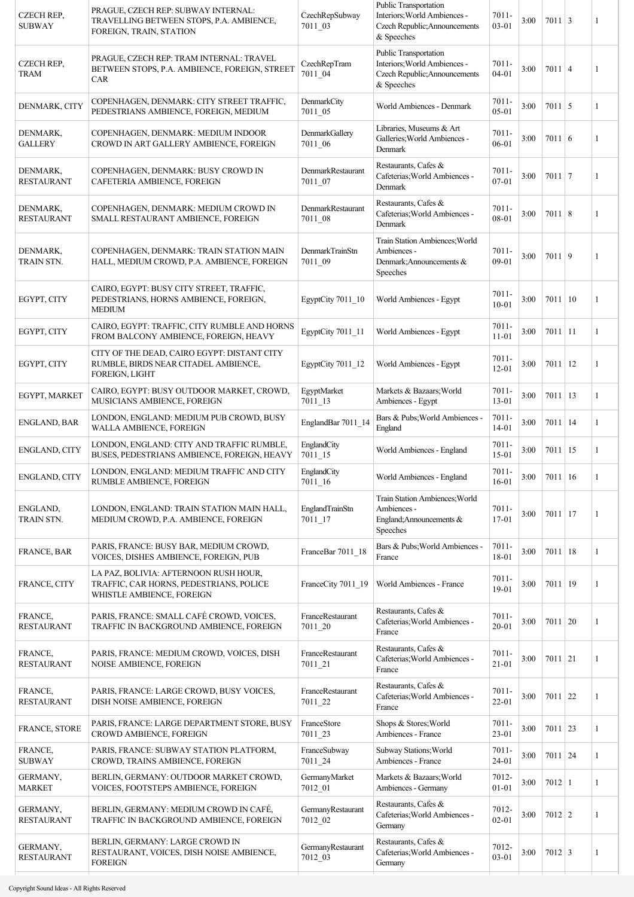| CZECH REP,<br><b>SUBWAY</b>   | PRAGUE, CZECH REP: SUBWAY INTERNAL:<br>TRAVELLING BETWEEN STOPS, P.A. AMBIENCE,<br>FOREIGN, TRAIN, STATION    | CzechRepSubway<br>7011 03           | <b>Public Transportation</b><br>Interiors; World Ambiences -<br>Czech Republic; Announcements<br>& Speeches | 7011-<br>$03 - 01$    | 3:00 | $7011 \mid 3$    |    | 1 |
|-------------------------------|---------------------------------------------------------------------------------------------------------------|-------------------------------------|-------------------------------------------------------------------------------------------------------------|-----------------------|------|------------------|----|---|
| <b>CZECH REP,</b><br>TRAM     | PRAGUE, CZECH REP: TRAM INTERNAL: TRAVEL<br>BETWEEN STOPS, P.A. AMBIENCE, FOREIGN, STREET<br>CAR              | <b>CzechRepTram</b><br>7011_04      | Public Transportation<br>Interiors; World Ambiences -<br>Czech Republic; Announcements<br>& Speeches        | 7011-<br>$04 - 01$    | 3:00 | $7011 \mid 4$    |    | 1 |
| DENMARK, CITY                 | COPENHAGEN, DENMARK: CITY STREET TRAFFIC,<br>PEDESTRIANS AMBIENCE, FOREIGN, MEDIUM                            | DenmarkCity<br>7011_05              | World Ambiences - Denmark                                                                                   | $7011 -$<br>$05-01$   | 3:00 | $7011 \mid 5$    |    | 1 |
| DENMARK,<br><b>GALLERY</b>    | COPENHAGEN, DENMARK: MEDIUM INDOOR<br>CROWD IN ART GALLERY AMBIENCE, FOREIGN                                  | DenmarkGallery<br>7011 06           | Libraries, Museums & Art<br>Galleries; World Ambiences -<br>Denmark                                         | $7011 -$<br>06-01     | 3:00 | $7011 \mid 6$    |    | 1 |
| DENMARK,<br><b>RESTAURANT</b> | COPENHAGEN, DENMARK: BUSY CROWD IN<br>CAFETERIA AMBIENCE, FOREIGN                                             | DenmarkRestaurant<br>7011 07        | Restaurants, Cafes &<br>Cafeterias; World Ambiences -<br>Denmark                                            | $7011 -$<br>$07 - 01$ | 3:00 | $7011$   7       |    | 1 |
| DENMARK,<br><b>RESTAURANT</b> | COPENHAGEN, DENMARK: MEDIUM CROWD IN<br>SMALL RESTAURANT AMBIENCE, FOREIGN                                    | DenmarkRestaurant<br>7011 08        | Restaurants, Cafes &<br>Cafeterias; World Ambiences -<br>Denmark                                            | $7011 -$<br>08-01     | 3:00 | $7011 \,   \, 8$ |    | 1 |
| DENMARK,<br>TRAIN STN.        | COPENHAGEN, DENMARK: TRAIN STATION MAIN<br>HALL, MEDIUM CROWD, P.A. AMBIENCE, FOREIGN                         | DenmarkTrainStn<br>7011_09          | Train Station Ambiences; World<br>Ambiences -<br>Denmark: Announcements &<br>Speeches                       | $7011 -$<br>09-01     | 3:00 | 7011 9           |    | 1 |
| EGYPT, CITY                   | CAIRO, EGYPT: BUSY CITY STREET, TRAFFIC,<br>PEDESTRIANS, HORNS AMBIENCE, FOREIGN,<br><b>MEDIUM</b>            | EgyptCity 7011 10                   | World Ambiences - Egypt                                                                                     | $7011 -$<br>$10 - 01$ | 3:00 | 7011   10        |    | 1 |
| EGYPT, CITY                   | CAIRO, EGYPT: TRAFFIC, CITY RUMBLE AND HORNS<br>FROM BALCONY AMBIENCE, FOREIGN, HEAVY                         | EgyptCity 7011_11                   | World Ambiences - Egypt                                                                                     | $7011 -$<br>$11 - 01$ | 3:00 | $7011 \mid 11$   |    | 1 |
| EGYPT, CITY                   | CITY OF THE DEAD, CAIRO EGYPT: DISTANT CITY<br>RUMBLE, BIRDS NEAR CITADEL AMBIENCE,<br><b>FOREIGN, LIGHT</b>  | EgyptCity 7011_12                   | World Ambiences - Egypt                                                                                     | 7011-<br>$12 - 01$    | 3:00 | 7011             | 12 | 1 |
| EGYPT, MARKET                 | CAIRO, EGYPT: BUSY OUTDOOR MARKET, CROWD,<br>MUSICIANS AMBIENCE, FOREIGN                                      | EgyptMarket<br>$7011 - 13$          | Markets & Bazaars; World<br>Ambiences - Egypt                                                               | $7011 -$<br>13-01     | 3:00 | 7011             | 13 | 1 |
| ENGLAND, BAR                  | LONDON, ENGLAND: MEDIUM PUB CROWD, BUSY<br>WALLA AMBIENCE, FOREIGN                                            | EnglandBar 7011 14                  | Bars & Pubs; World Ambiences -<br>England                                                                   | $7011 -$<br>14-01     | 3:00 | $7011 \mid 14$   |    | 1 |
| <b>ENGLAND, CITY</b>          | LONDON, ENGLAND: CITY AND TRAFFIC RUMBLE,<br>BUSES, PEDESTRIANS AMBIENCE, FOREIGN, HEAVY                      | EnglandCity<br>$7011 - 15$          | World Ambiences - England                                                                                   | $7011 -$<br>$15 - 01$ | 3:00 | $7011$   15      |    | 1 |
| ENGLAND, CITY                 | LONDON, ENGLAND: MEDIUM TRAFFIC AND CITY<br>RUMBLE AMBIENCE, FOREIGN                                          | EnglandCity<br>$7011\_16$           | World Ambiences - England                                                                                   | $7011 -$<br>$16 - 01$ | 3:00 | $7011 \mid 16$   |    | 1 |
| ENGLAND,<br>TRAIN STN.        | LONDON, ENGLAND: TRAIN STATION MAIN HALL,<br>MEDIUM CROWD, P.A. AMBIENCE, FOREIGN                             | EnglandTrainStn<br>$7011 - 17$      | Train Station Ambiences; World<br>Ambiences -<br>England; Announcements &<br>Speeches                       | $7011 -$<br>17-01     | 3:00 | $7011$   17      |    | 1 |
| FRANCE, BAR                   | PARIS, FRANCE: BUSY BAR, MEDIUM CROWD,<br>VOICES, DISHES AMBIENCE, FOREIGN, PUB                               | FranceBar 7011_18                   | Bars & Pubs; World Ambiences -<br>France                                                                    | $7011 -$<br>18-01     | 3:00 | $7011$   18      |    | 1 |
| FRANCE, CITY                  | LA PAZ, BOLIVIA: AFTERNOON RUSH HOUR,<br>TRAFFIC, CAR HORNS, PEDESTRIANS, POLICE<br>WHISTLE AMBIENCE, FOREIGN | FranceCity 7011_19                  | World Ambiences - France                                                                                    | $7011 -$<br>19-01     | 3:00 | 7011 19          |    | 1 |
| FRANCE,<br><b>RESTAURANT</b>  | PARIS, FRANCE: SMALL CAFÉ CROWD, VOICES,<br>TRAFFIC IN BACKGROUND AMBIENCE, FOREIGN                           | FranceRestaurant<br>7011_20         | Restaurants, Cafes &<br>Cafeterias; World Ambiences -<br>France                                             | $7011 -$<br>$20 - 01$ | 3:00 | 7011   20        |    | 1 |
| FRANCE,<br><b>RESTAURANT</b>  | PARIS, FRANCE: MEDIUM CROWD, VOICES, DISH<br>NOISE AMBIENCE, FOREIGN                                          | FranceRestaurant<br>$7011 - 21$     | Restaurants, Cafes &<br>Cafeterias; World Ambiences -<br>France                                             | $7011 -$<br>$21 - 01$ | 3:00 | $7011 \mid 21$   |    | 1 |
| FRANCE,<br><b>RESTAURANT</b>  | PARIS, FRANCE: LARGE CROWD, BUSY VOICES,<br>DISH NOISE AMBIENCE, FOREIGN                                      | FranceRestaurant<br>7011_22         | Restaurants, Cafes &<br>Cafeterias; World Ambiences -<br>France                                             | 7011-<br>$22 - 01$    | 3:00 | $7011$ 22        |    | 1 |
| FRANCE, STORE                 | PARIS, FRANCE: LARGE DEPARTMENT STORE, BUSY<br>CROWD AMBIENCE, FOREIGN                                        | FranceStore<br>7011_23              | Shops & Stores; World<br>Ambiences - France                                                                 | $7011 -$<br>$23 - 01$ | 3:00 | $7011$ 23        |    | 1 |
| FRANCE,<br><b>SUBWAY</b>      | PARIS, FRANCE: SUBWAY STATION PLATFORM,<br>CROWD, TRAINS AMBIENCE, FOREIGN                                    | FranceSubway<br>7011_24             | Subway Stations; World<br>Ambiences - France                                                                | $7011 -$<br>24-01     | 3:00 | $7011$ 24        |    | 1 |
| GERMANY,<br><b>MARKET</b>     | BERLIN, GERMANY: OUTDOOR MARKET CROWD,<br>VOICES, FOOTSTEPS AMBIENCE, FOREIGN                                 | GermanyMarket<br>7012 01            | Markets & Bazaars; World<br>Ambiences - Germany                                                             | 7012-<br>$01 - 01$    | 3:00 | $7012$   1       |    | 1 |
| GERMANY,<br><b>RESTAURANT</b> | BERLIN, GERMANY: MEDIUM CROWD IN CAFÉ,<br>TRAFFIC IN BACKGROUND AMBIENCE, FOREIGN                             | GermanyRestaurant<br>7012_02        | Restaurants, Cafes &<br>Cafeterias; World Ambiences -<br>Germany                                            | 7012-<br>$02 - 01$    | 3:00 | $7012$   2       |    | 1 |
| GERMANY,<br><b>RESTAURANT</b> | BERLIN, GERMANY: LARGE CROWD IN<br>RESTAURANT, VOICES, DISH NOISE AMBIENCE,<br><b>FOREIGN</b>                 | <b>GermanyRestaurant</b><br>7012_03 | Restaurants, Cafes &<br>Cafeterias; World Ambiences -<br>Germany                                            | 7012-<br>03-01        | 3:00 | $7012 \mid 3$    |    | 1 |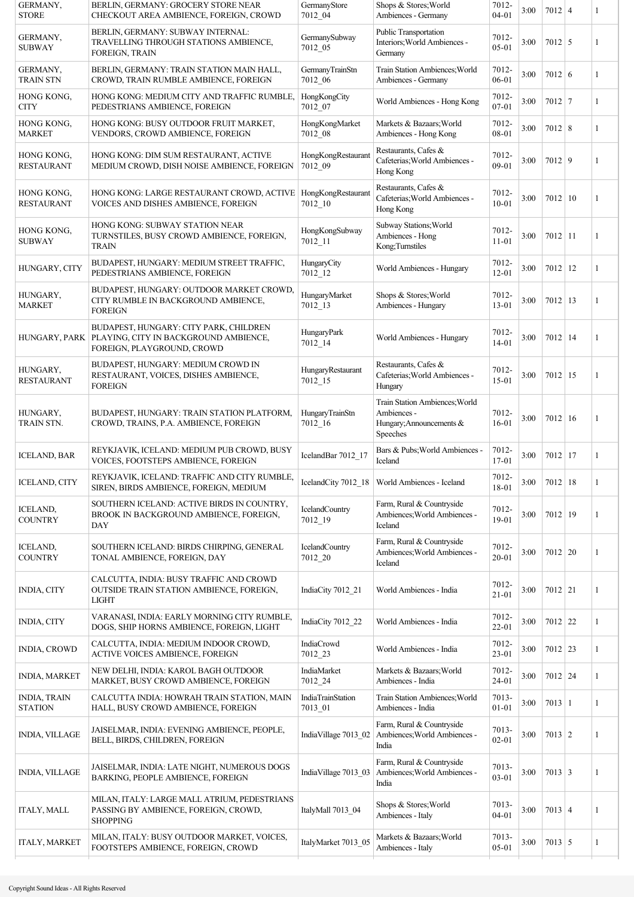| GERMANY,<br><b>STORE</b>              | BERLIN, GERMANY: GROCERY STORE NEAR<br>CHECKOUT AREA AMBIENCE, FOREIGN, CROWD                                                 | GermanyStore<br>7012 04          | Shops & Stores; World<br>Ambiences - Germany                                          | 7012-<br>$04 - 01$ | 3:00 | $7012$ 4       | 1            |
|---------------------------------------|-------------------------------------------------------------------------------------------------------------------------------|----------------------------------|---------------------------------------------------------------------------------------|--------------------|------|----------------|--------------|
| GERMANY,<br><b>SUBWAY</b>             | BERLIN, GERMANY: SUBWAY INTERNAL:<br>TRAVELLING THROUGH STATIONS AMBIENCE,<br>FOREIGN, TRAIN                                  | GermanySubway<br>7012_05         | Public Transportation<br>Interiors; World Ambiences -<br>Germany                      | 7012-<br>$05-01$   | 3:00 | $7012$ 5       | 1            |
| GERMANY,<br><b>TRAIN STN</b>          | BERLIN, GERMANY: TRAIN STATION MAIN HALL,<br>CROWD, TRAIN RUMBLE AMBIENCE, FOREIGN                                            | GermanyTrainStn<br>7012_06       | Train Station Ambiences; World<br>Ambiences - Germany                                 | 7012-<br>06-01     | 3:00 | $7012 \mid 6$  | 1            |
| HONG KONG,<br><b>CITY</b>             | HONG KONG: MEDIUM CITY AND TRAFFIC RUMBLE,<br>PEDESTRIANS AMBIENCE, FOREIGN                                                   | HongKongCity<br>7012_07          | World Ambiences - Hong Kong                                                           | 7012-<br>07-01     | 3:00 | $7012$ 7       | 1            |
| HONG KONG,<br><b>MARKET</b>           | HONG KONG: BUSY OUTDOOR FRUIT MARKET,<br>VENDORS, CROWD AMBIENCE, FOREIGN                                                     | HongKongMarket<br>7012 08        | Markets & Bazaars; World<br>Ambiences - Hong Kong                                     | 7012-<br>08-01     | 3:00 | $7012 \mid 8$  | 1            |
| HONG KONG,<br><b>RESTAURANT</b>       | HONG KONG: DIM SUM RESTAURANT, ACTIVE<br>MEDIUM CROWD, DISH NOISE AMBIENCE, FOREIGN                                           | HongKongRestaurant<br>7012_09    | Restaurants, Cafes &<br>Cafeterias; World Ambiences -<br>Hong Kong                    | 7012-<br>09-01     | 3:00 | $7012$ 9       | 1            |
| HONG KONG,<br><b>RESTAURANT</b>       | HONG KONG: LARGE RESTAURANT CROWD, ACTIVE<br>VOICES AND DISHES AMBIENCE, FOREIGN                                              | HongKongRestaurant<br>7012 10    | Restaurants, Cafes &<br>Cafeterias; World Ambiences -<br>Hong Kong                    | 7012-<br>$10 - 01$ | 3:00 | 7012   10      | 1            |
| HONG KONG,<br><b>SUBWAY</b>           | HONG KONG: SUBWAY STATION NEAR<br>TURNSTILES, BUSY CROWD AMBIENCE, FOREIGN,<br><b>TRAIN</b>                                   | HongKongSubway<br>7012_11        | Subway Stations; World<br>Ambiences - Hong<br>Kong;Turnstiles                         | 7012-<br>$11 - 01$ | 3:00 | $7012$ 11      | 1            |
| HUNGARY, CITY                         | BUDAPEST, HUNGARY: MEDIUM STREET TRAFFIC,<br>PEDESTRIANS AMBIENCE, FOREIGN                                                    | HungaryCity<br>$7012 - 12$       | World Ambiences - Hungary                                                             | 7012-<br>$12 - 01$ | 3:00 | $7012$   12    | 1            |
| HUNGARY,<br><b>MARKET</b>             | BUDAPEST, HUNGARY: OUTDOOR MARKET CROWD,<br>CITY RUMBLE IN BACKGROUND AMBIENCE,<br><b>FOREIGN</b>                             | HungaryMarket<br>$7012 - 13$     | Shops & Stores; World<br>Ambiences - Hungary                                          | 7012-<br>$13 - 01$ | 3:00 | $7012$   13    | 1            |
|                                       | BUDAPEST, HUNGARY: CITY PARK, CHILDREN<br>HUNGARY, PARK   PLAYING, CITY IN BACKGROUND AMBIENCE,<br>FOREIGN, PLAYGROUND, CROWD | HungaryPark<br>$7012 - 14$       | World Ambiences - Hungary                                                             | 7012-<br>$14 - 01$ | 3:00 | 7012 14        | 1            |
| HUNGARY,<br><b>RESTAURANT</b>         | BUDAPEST, HUNGARY: MEDIUM CROWD IN<br>RESTAURANT, VOICES, DISHES AMBIENCE,<br><b>FOREIGN</b>                                  | HungaryRestaurant<br>$7012 - 15$ | Restaurants, Cafes &<br>Cafeterias; World Ambiences -<br>Hungary                      | 7012-<br>15-01     | 3:00 | $7012$   15    | 1            |
| HUNGARY,<br>TRAIN STN.                | BUDAPEST, HUNGARY: TRAIN STATION PLATFORM,<br>CROWD, TRAINS, P.A. AMBIENCE, FOREIGN                                           | HungaryTrainStn<br>$7012 - 16$   | Train Station Ambiences; World<br>Ambiences -<br>Hungary; Announcements &<br>Speeches | 7012-<br>$16 - 01$ | 3:00 | $7012 \mid 16$ | 1            |
| <b>ICELAND, BAR</b>                   | REYKJAVIK, ICELAND: MEDIUM PUB CROWD, BUSY<br>VOICES, FOOTSTEPS AMBIENCE, FOREIGN                                             | IcelandBar 7012 17               | Bars & Pubs; World Ambiences -<br>Iceland                                             | 7012-<br>17-01     | 3:00 | $7012$ 17      | 1            |
| <b>ICELAND, CITY</b>                  | REYKJAVIK, ICELAND: TRAFFIC AND CITY RUMBLE,<br>SIREN, BIRDS AMBIENCE, FOREIGN, MEDIUM                                        |                                  | IcelandCity 7012 18   World Ambiences - Iceland                                       | 7012-<br>18-01     | 3:00 | 7012   18      | 1            |
| ICELAND,<br><b>COUNTRY</b>            | SOUTHERN ICELAND: ACTIVE BIRDS IN COUNTRY,<br>BROOK IN BACKGROUND AMBIENCE, FOREIGN,<br>DAY                                   | IcelandCountry<br>$7012 - 19$    | Farm, Rural & Countryside<br>Ambiences; World Ambiences -<br>Iceland                  | 7012-<br>19-01     | 3:00 | $7012$   19    | 1            |
| <b>ICELAND,</b><br><b>COUNTRY</b>     | SOUTHERN ICELAND: BIRDS CHIRPING, GENERAL<br>TONAL AMBIENCE, FOREIGN, DAY                                                     | IcelandCountry<br>7012_20        | Farm, Rural & Countryside<br>Ambiences; World Ambiences -<br>Iceland                  | 7012-<br>20-01     | 3:00 | $7012$ 20      | 1            |
| <b>INDIA, CITY</b>                    | CALCUTTA, INDIA: BUSY TRAFFIC AND CROWD<br>OUTSIDE TRAIN STATION AMBIENCE, FOREIGN,<br><b>LIGHT</b>                           | IndiaCity 7012 21                | World Ambiences - India                                                               | 7012-<br>$21 - 01$ | 3:00 | $7012$ 21      | 1            |
| <b>INDIA, CITY</b>                    | VARANASI, INDIA: EARLY MORNING CITY RUMBLE,<br>DOGS, SHIP HORNS AMBIENCE, FOREIGN, LIGHT                                      | IndiaCity 7012_22                | World Ambiences - India                                                               | 7012-<br>22-01     | 3:00 | $7012$ 22      | 1            |
| <b>INDIA, CROWD</b>                   | CALCUTTA, INDIA: MEDIUM INDOOR CROWD,<br>ACTIVE VOICES AMBIENCE, FOREIGN                                                      | IndiaCrowd<br>7012_23            | World Ambiences - India                                                               | 7012-<br>23-01     | 3:00 | $7012$ 23      | 1            |
| <b>INDIA, MARKET</b>                  | NEW DELHI, INDIA: KAROL BAGH OUTDOOR<br>MARKET, BUSY CROWD AMBIENCE, FOREIGN                                                  | IndiaMarket<br>7012_24           | Markets & Bazaars; World<br>Ambiences - India                                         | 7012-<br>24-01     | 3:00 | $7012$ 24      | $\mathbf{1}$ |
| <b>INDIA, TRAIN</b><br><b>STATION</b> | CALCUTTA INDIA: HOWRAH TRAIN STATION, MAIN<br>HALL, BUSY CROWD AMBIENCE, FOREIGN                                              | IndiaTrainStation<br>7013 01     | Train Station Ambiences; World<br>Ambiences - India                                   | 7013-<br>$01 - 01$ | 3:00 | $7013 \mid 1$  | 1            |
| <b>INDIA, VILLAGE</b>                 | JAISELMAR, INDIA: EVENING AMBIENCE, PEOPLE,<br>BELL, BIRDS, CHILDREN, FOREIGN                                                 | IndiaVillage 7013_02             | Farm, Rural & Countryside<br>Ambiences; World Ambiences -<br>India                    | 7013-<br>$02 - 01$ | 3:00 | $7013 \mid 2$  | 1            |
| <b>INDIA, VILLAGE</b>                 | JAISELMAR, INDIA: LATE NIGHT, NUMEROUS DOGS<br>BARKING, PEOPLE AMBIENCE, FOREIGN                                              | IndiaVillage 7013_03             | Farm, Rural & Countryside<br>Ambiences; World Ambiences -<br>India                    | 7013-<br>$03 - 01$ | 3:00 | $7013 \mid 3$  | 1            |
| <b>ITALY, MALL</b>                    | MILAN, ITALY: LARGE MALL ATRIUM, PEDESTRIANS<br>PASSING BY AMBIENCE, FOREIGN, CROWD,<br><b>SHOPPING</b>                       | ItalyMall 7013 04                | Shops & Stores; World<br>Ambiences - Italy                                            | 7013-<br>$04 - 01$ | 3:00 | $7013 \mid 4$  | 1            |
| <b>ITALY, MARKET</b>                  | MILAN, ITALY: BUSY OUTDOOR MARKET, VOICES,<br>FOOTSTEPS AMBIENCE, FOREIGN, CROWD                                              | ItalyMarket 7013_05              | Markets & Bazaars; World<br>Ambiences - Italy                                         | 7013-<br>05-01     | 3:00 | $7013 \mid 5$  | 1            |
|                                       |                                                                                                                               |                                  |                                                                                       |                    |      |                |              |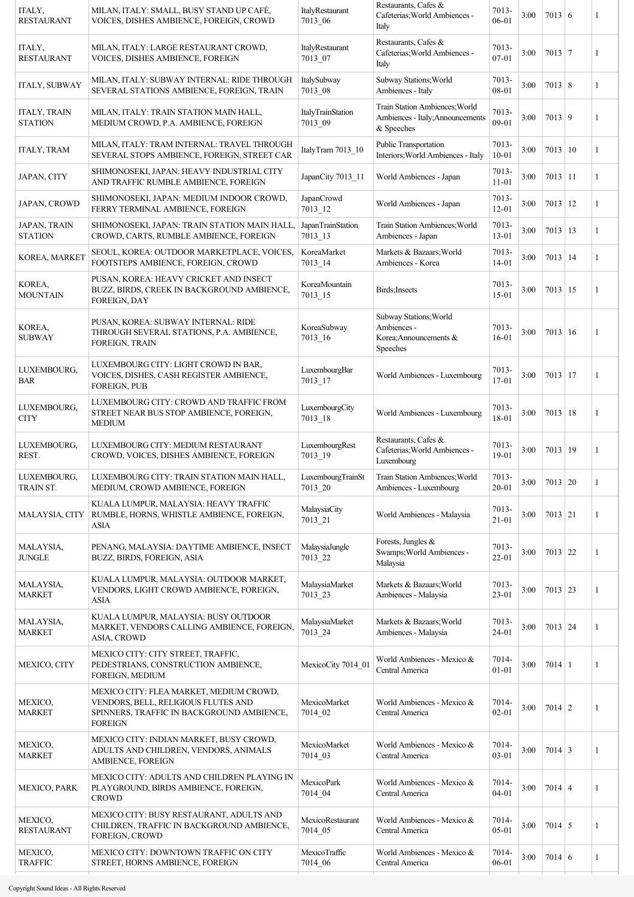| ITALY,                                      | MILAN, ITALY: LARGE RESTAURANT CROWD,                                                                                       |                                     |                                                                                  |                    |      |                |   |
|---------------------------------------------|-----------------------------------------------------------------------------------------------------------------------------|-------------------------------------|----------------------------------------------------------------------------------|--------------------|------|----------------|---|
| <b>RESTAURANT</b>                           | VOICES, DISHES AMBIENCE, FOREIGN                                                                                            | ItalyRestaurant<br>7013_07          | Restaurants, Cafes &<br>Cafeterias; World Ambiences -<br>Italy                   | 7013-<br>$07 - 01$ | 3:00 | $7013 \mid 7$  | 1 |
| <b>ITALY, SUBWAY</b>                        | MILAN, ITALY: SUBWAY INTERNAL: RIDE THROUGH<br>SEVERAL STATIONS AMBIENCE, FOREIGN, TRAIN                                    | ItalySubway<br>7013 08              | Subway Stations; World<br>Ambiences - Italy                                      | 7013-<br>08-01     | 3:00 | $7013 \mid 8$  | 1 |
| <b>ITALY, TRAIN</b><br><b>STATION</b>       | MILAN, ITALY: TRAIN STATION MAIN HALL,<br>MEDIUM CROWD, P.A. AMBIENCE, FOREIGN                                              | <b>ItalyTrainStation</b><br>7013_09 | Train Station Ambiences; World<br>Ambiences - Italy; Announcements<br>& Speeches | 7013-<br>09-01     | 3:00 | 7013   9       | 1 |
| <b>ITALY, TRAM</b>                          | MILAN, ITALY: TRAM INTERNAL: TRAVEL THROUGH<br>SEVERAL STOPS AMBIENCE, FOREIGN, STREET CAR                                  | ItalyTram 7013_10                   | Public Transportation<br>Interiors; World Ambiences - Italy                      | 7013-<br>$10 - 01$ | 3:00 | $7013 \mid 10$ | 1 |
| JAPAN, CITY                                 | SHIMONOSEKI, JAPAN: HEAVY INDUSTRIAL CITY<br>AND TRAFFIC RUMBLE AMBIENCE, FOREIGN                                           | JapanCity 7013_11                   | World Ambiences - Japan                                                          | 7013-<br>$11 - 01$ | 3:00 | $7013$   11    | 1 |
| <b>JAPAN, CROWD</b>                         | SHIMONOSEKI, JAPAN: MEDIUM INDOOR CROWD,<br>FERRY TERMINAL AMBIENCE, FOREIGN                                                | <b>JapanCrowd</b><br>$7013 - 12$    | World Ambiences - Japan                                                          | 7013-<br>$12 - 01$ | 3:00 | $7013$   12    | 1 |
| JAPAN, TRAIN<br><b>STATION</b>              | SHIMONOSEKI, JAPAN: TRAIN STATION MAIN HALL,<br>CROWD, CARTS, RUMBLE AMBIENCE, FOREIGN                                      | JapanTrainStation<br>$7013 - 13$    | Train Station Ambiences; World<br>Ambiences - Japan                              | 7013-<br>13-01     | 3:00 | $7013 \mid 13$ | 1 |
| KOREA, MARKET                               | SEOUL, KOREA: OUTDOOR MARKETPLACE, VOICES,<br>FOOTSTEPS AMBIENCE, FOREIGN, CROWD                                            | KoreaMarket<br>7013 14              | Markets & Bazaars; World<br>Ambiences - Korea                                    | 7013-<br>14-01     | 3:00 | $7013$ 14      | 1 |
| KOREA,<br><b>MOUNTAIN</b><br>FOREIGN, DAY   | PUSAN, KOREA: HEAVY CRICKET AND INSECT<br>BUZZ, BIRDS, CREEK IN BACKGROUND AMBIENCE,                                        | KoreaMountain<br>$7013 - 15$        | Birds; Insects                                                                   | 7013-<br>$15-01$   | 3:00 | $7013 \mid 15$ | 1 |
| KOREA,<br><b>SUBWAY</b>                     | PUSAN, KOREA: SUBWAY INTERNAL: RIDE<br>THROUGH SEVERAL STATIONS, P.A. AMBIENCE,<br>FOREIGN, TRAIN                           | KoreaSubway<br>7013 16              | Subway Stations; World<br>Ambiences -<br>Korea;Announcements &<br>Speeches       | 7013-<br>$16 - 01$ | 3:00 | $7013 \mid 16$ | 1 |
| LUXEMBOURG,<br><b>BAR</b><br>FOREIGN, PUB   | LUXEMBOURG CITY: LIGHT CROWD IN BAR,<br>VOICES, DISHES, CASH REGISTER AMBIENCE,                                             | LuxembourgBar<br>7013_17            | World Ambiences - Luxembourg                                                     | 7013-<br>$17 - 01$ | 3:00 | $7013 \mid 17$ | 1 |
| LUXEMBOURG,<br><b>CITY</b><br><b>MEDIUM</b> | LUXEMBOURG CITY: CROWD AND TRAFFIC FROM<br>STREET NEAR BUS STOP AMBIENCE, FOREIGN,                                          | LuxembourgCity<br>$7013 - 18$       | World Ambiences - Luxembourg                                                     | 7013-<br>18-01     | 3:00 | $7013 \mid 18$ | 1 |
| LUXEMBOURG,<br>REST.                        | LUXEMBOURG CITY: MEDIUM RESTAURANT<br>CROWD, VOICES, DISHES AMBIENCE, FOREIGN                                               | LuxembourgRest<br>$7013 - 19$       | Restaurants, Cafes &<br>Cafeterias; World Ambiences -<br>Luxembourg              | 7013-<br>19-01     | 3:00 | 7013 19        | 1 |
| LUXEMBOURG,<br>TRAIN ST.                    | LUXEMBOURG CITY: TRAIN STATION MAIN HALL,<br>MEDIUM, CROWD AMBIENCE, FOREIGN                                                | LuxembourgTrainSt<br>7013_20        | Train Station Ambiences; World<br>Ambiences - Luxembourg                         | 7013-<br>$20 - 01$ | 3:00 | $7013$ 20      | 1 |
| MALAYSIA, CITY<br>ASIA                      | KUALA LUMPUR, MALAYSIA: HEAVY TRAFFIC<br>RUMBLE, HORNS, WHISTLE AMBIENCE, FOREIGN,                                          | MalaysiaCity<br>7013_21             | World Ambiences - Malaysia                                                       | 7013-<br>$21 - 01$ | 3:00 | $7013$ 21      | 1 |
| MALAYSIA,<br><b>JUNGLE</b>                  | PENANG, MALAYSIA: DAYTIME AMBIENCE, INSECT<br>BUZZ, BIRDS, FOREIGN, ASIA                                                    | MalaysiaJungle<br>7013 22           | Forests, Jungles &<br>Swamps; World Ambiences -<br>Malaysia                      | 7013-<br>22-01     | 3:00 | $7013$ 22      | 1 |
| MALAYSIA,<br><b>MARKET</b><br>ASIA          | KUALA LUMPUR, MALAYSIA: OUTDOOR MARKET,<br>VENDORS, LIGHT CROWD AMBIENCE, FOREIGN,                                          | MalaysiaMarket<br>7013 23           | Markets & Bazaars; World<br>Ambiences - Malaysia                                 | 7013-<br>$23 - 01$ | 3:00 | $7013$ 23      | 1 |
| MALAYSIA,<br><b>MARKET</b><br>ASIA, CROWD   | KUALA LUMPUR, MALAYSIA: BUSY OUTDOOR<br>MARKET, VENDORS CALLING AMBIENCE, FOREIGN,                                          | MalaysiaMarket<br>7013_24           | Markets & Bazaars; World<br>Ambiences - Malaysia                                 | 7013-<br>24-01     | 3:00 | $7013 \mid 24$ | 1 |
| <b>MEXICO, CITY</b>                         | MEXICO CITY: CITY STREET, TRAFFIC,<br>PEDESTRIANS, CONSTRUCTION AMBIENCE,<br>FOREIGN, MEDIUM                                | MexicoCity 7014 01                  | World Ambiences - Mexico &<br>Central America                                    | 7014-<br>$01 - 01$ | 3:00 | $7014$   1     | 1 |
| MEXICO,<br><b>MARKET</b><br><b>FOREIGN</b>  | MEXICO CITY: FLEA MARKET, MEDIUM CROWD,<br>VENDORS, BELL, RELIGIOUS FLUTES AND<br>SPINNERS, TRAFFIC IN BACKGROUND AMBIENCE, | MexicoMarket<br>7014 02             | World Ambiences - Mexico &<br>Central America                                    | 7014-<br>$02 - 01$ | 3:00 | $7014$   2     | 1 |
| MEXICO,<br><b>MARKET</b>                    | MEXICO CITY: INDIAN MARKET, BUSY CROWD,<br>ADULTS AND CHILDREN, VENDORS, ANIMALS<br>AMBIENCE, FOREIGN                       | MexicoMarket<br>7014_03             | World Ambiences - Mexico &<br>Central America                                    | 7014-<br>$03 - 01$ | 3:00 | $7014 \mid 3$  | 1 |
| MEXICO, PARK<br><b>CROWD</b>                | MEXICO CITY: ADULTS AND CHILDREN PLAYING IN<br>PLAYGROUND, BIRDS AMBIENCE, FOREIGN,                                         | MexicoPark<br>7014_04               | World Ambiences - Mexico &<br>Central America                                    | 7014-<br>$04 - 01$ | 3:00 | $7014 \mid 4$  | 1 |
| MEXICO,<br><b>RESTAURANT</b>                | MEXICO CITY: BUSY RESTAURANT, ADULTS AND<br>CHILDREN, TRAFFIC IN BACKGROUND AMBIENCE,<br>FOREIGN, CROWD                     | MexicoRestaurant<br>7014_05         | World Ambiences - Mexico &<br>Central America                                    | 7014-<br>05-01     | 3:00 | $7014 \mid 5$  | 1 |
| MEXICO,<br><b>TRAFFIC</b>                   | MEXICO CITY: DOWNTOWN TRAFFIC ON CITY<br>STREET, HORNS AMBIENCE, FOREIGN                                                    | MexicoTraffic<br>7014 06            | World Ambiences - Mexico &<br>Central America                                    | 7014-<br>06-01     | 3:00 | $7014 \mid 6$  | 1 |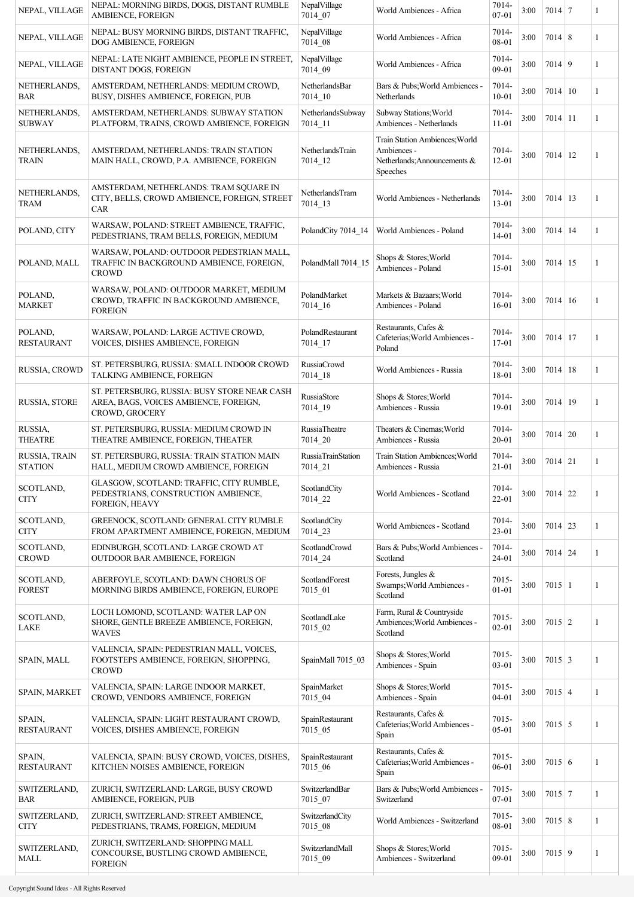| NEPAL, VILLAGE                  | NEPAL: MORNING BIRDS, DOGS, DISTANT RUMBLE<br>AMBIENCE, FOREIGN                                          | NepalVillage<br>7014_07              | World Ambiences - Africa                                                                  | 7014-<br>$07 - 01$    | 3:00 | $7014$ 7         | 1 |
|---------------------------------|----------------------------------------------------------------------------------------------------------|--------------------------------------|-------------------------------------------------------------------------------------------|-----------------------|------|------------------|---|
| NEPAL, VILLAGE                  | NEPAL: BUSY MORNING BIRDS, DISTANT TRAFFIC,<br>DOG AMBIENCE, FOREIGN                                     | NepalVillage<br>7014_08              | World Ambiences - Africa                                                                  | 7014-<br>08-01        | 3:00 | $7014 \,   \, 8$ | 1 |
| NEPAL, VILLAGE                  | NEPAL: LATE NIGHT AMBIENCE, PEOPLE IN STREET,<br>DISTANT DOGS, FOREIGN                                   | NepalVillage<br>7014 09              | World Ambiences - Africa                                                                  | 7014-<br>$09-01$      | 3:00 | $7014$ 9         | 1 |
| NETHERLANDS,<br><b>BAR</b>      | AMSTERDAM, NETHERLANDS: MEDIUM CROWD,<br>BUSY, DISHES AMBIENCE, FOREIGN, PUB                             | NetherlandsBar<br>7014 10            | Bars & Pubs; World Ambiences -<br>Netherlands                                             | 7014-<br>$10 - 01$    | 3:00 | $7014 \mid 10$   | 1 |
| NETHERLANDS.<br><b>SUBWAY</b>   | AMSTERDAM, NETHERLANDS: SUBWAY STATION<br>PLATFORM, TRAINS, CROWD AMBIENCE, FOREIGN                      | NetherlandsSubway<br>7014 11         | Subway Stations; World<br>Ambiences - Netherlands                                         | 7014-<br>$11 - 01$    | 3:00 | $7014$   11      | 1 |
| NETHERLANDS,<br><b>TRAIN</b>    | AMSTERDAM, NETHERLANDS: TRAIN STATION<br>MAIN HALL, CROWD, P.A. AMBIENCE, FOREIGN                        | NetherlandsTrain<br>7014 12          | Train Station Ambiences; World<br>Ambiences -<br>Netherlands; Announcements &<br>Speeches | 7014-<br>$12 - 01$    | 3:00 | $7014$   12      | 1 |
| NETHERLANDS,<br><b>TRAM</b>     | AMSTERDAM, NETHERLANDS: TRAM SQUARE IN<br>CITY, BELLS, CROWD AMBIENCE, FOREIGN, STREET<br>CAR            | NetherlandsTram<br>$7014 - 13$       | World Ambiences - Netherlands                                                             | 7014-<br>$13 - 01$    | 3:00 | $7014$ 13        | 1 |
| POLAND, CITY                    | WARSAW, POLAND: STREET AMBIENCE, TRAFFIC,<br>PEDESTRIANS, TRAM BELLS, FOREIGN, MEDIUM                    | PolandCity 7014_14                   | World Ambiences - Poland                                                                  | 7014-<br>$14 - 01$    | 3:00 | $7014$   14      | 1 |
| POLAND, MALL                    | WARSAW, POLAND: OUTDOOR PEDESTRIAN MALL,<br>TRAFFIC IN BACKGROUND AMBIENCE, FOREIGN,<br><b>CROWD</b>     | PolandMall 7014 15                   | Shops & Stores; World<br>Ambiences - Poland                                               | 7014-<br>$15-01$      | 3:00 | $7014$   15      | 1 |
| POLAND,<br><b>MARKET</b>        | WARSAW, POLAND: OUTDOOR MARKET, MEDIUM<br>CROWD, TRAFFIC IN BACKGROUND AMBIENCE,<br><b>FOREIGN</b>       | PolandMarket<br>7014 16              | Markets & Bazaars; World<br>Ambiences - Poland                                            | 7014-<br>$16 - 01$    | 3:00 | $7014 \mid 16$   | 1 |
| POLAND,<br><b>RESTAURANT</b>    | WARSAW, POLAND: LARGE ACTIVE CROWD,<br>VOICES, DISHES AMBIENCE, FOREIGN                                  | PolandRestaurant<br>$7014 - 17$      | Restaurants, Cafes &<br>Cafeterias; World Ambiences -<br>Poland                           | 7014-<br>17-01        | 3:00 | $7014$   17      | 1 |
| RUSSIA, CROWD                   | ST. PETERSBURG, RUSSIA: SMALL INDOOR CROWD<br>TALKING AMBIENCE, FOREIGN                                  | <b>RussiaCrowd</b><br>7014_18        | World Ambiences - Russia                                                                  | 7014-<br>18-01        | 3:00 | $7014 \mid 18$   | 1 |
| RUSSIA, STORE                   | ST. PETERSBURG, RUSSIA: BUSY STORE NEAR CASH<br>AREA, BAGS, VOICES AMBIENCE, FOREIGN,<br>CROWD, GROCERY  | RussiaStore<br>7014_19               | Shops & Stores; World<br>Ambiences - Russia                                               | 7014-<br>19-01        | 3:00 | $7014$ 19        | 1 |
| RUSSIA,<br><b>THEATRE</b>       | ST. PETERSBURG, RUSSIA: MEDIUM CROWD IN<br>THEATRE AMBIENCE, FOREIGN, THEATER                            | RussiaTheatre<br>7014 20             | Theaters & Cinemas; World<br>Ambiences - Russia                                           | 7014-<br>$20 - 01$    | 3:00 | $7014 \mid 20$   | 1 |
| RUSSIA, TRAIN<br><b>STATION</b> | ST. PETERSBURG, RUSSIA: TRAIN STATION MAIN<br>HALL, MEDIUM CROWD AMBIENCE, FOREIGN                       | <b>RussiaTrainStation</b><br>7014_21 | Train Station Ambiences; World<br>Ambiences - Russia                                      | 7014-<br>$21 - 01$    | 3:00 | $7014 \mid 21$   | 1 |
| SCOTLAND,<br><b>CITY</b>        | GLASGOW, SCOTLAND: TRAFFIC, CITY RUMBLE,<br>PEDESTRIANS, CONSTRUCTION AMBIENCE,<br><b>FOREIGN, HEAVY</b> | ScotlandCity<br>7014_22              | World Ambiences - Scotland                                                                | 7014-<br>$22 - 01$    | 3:00 | $7014$ 22        | 1 |
| SCOTLAND,<br>$\rm CITY$         | GREENOCK, SCOTLAND: GENERAL CITY RUMBLE<br>FROM APARTMENT AMBIENCE, FOREIGN, MEDIUM                      | ScotlandCity<br>7014 23              | World Ambiences - Scotland                                                                | 7014-<br>23-01        | 3:00 | $7014$ 23        | 1 |
| SCOTLAND,<br><b>CROWD</b>       | EDINBURGH, SCOTLAND: LARGE CROWD AT<br>OUTDOOR BAR AMBIENCE, FOREIGN                                     | ScotlandCrowd<br>7014 24             | Bars & Pubs; World Ambiences -<br>Scotland                                                | 7014-<br>24-01        | 3:00 | $7014$ 24        | 1 |
| SCOTLAND,<br><b>FOREST</b>      | ABERFOYLE, SCOTLAND: DAWN CHORUS OF<br>MORNING BIRDS AMBIENCE, FOREIGN, EUROPE                           | ScotlandForest<br>7015_01            | Forests, Jungles &<br>Swamps; World Ambiences -<br>Scotland                               | 7015-<br>$01 - 01$    | 3:00 | $7015 \mid 1$    | 1 |
| SCOTLAND,<br>LAKE               | LOCH LOMOND, SCOTLAND: WATER LAP ON<br>SHORE, GENTLE BREEZE AMBIENCE, FOREIGN,<br><b>WAVES</b>           | ScotlandLake<br>7015_02              | Farm, Rural & Countryside<br>Ambiences; World Ambiences -<br>Scotland                     | $7015 -$<br>$02 - 01$ | 3:00 | $7015 \mid 2$    | 1 |
| <b>SPAIN, MALL</b>              | VALENCIA, SPAIN: PEDESTRIAN MALL, VOICES,<br>FOOTSTEPS AMBIENCE, FOREIGN, SHOPPING,<br><b>CROWD</b>      | SpainMall 7015 03                    | Shops & Stores; World<br>Ambiences - Spain                                                | $7015 -$<br>$03 - 01$ | 3:00 | $7015 \mid 3$    | 1 |
| <b>SPAIN, MARKET</b>            | VALENCIA, SPAIN: LARGE INDOOR MARKET,<br>CROWD, VENDORS AMBIENCE, FOREIGN                                | SpainMarket<br>7015_04               | Shops & Stores; World<br>Ambiences - Spain                                                | 7015-<br>$04 - 01$    | 3:00 | $7015 \mid 4$    | 1 |
| SPAIN,<br><b>RESTAURANT</b>     | VALENCIA, SPAIN: LIGHT RESTAURANT CROWD,<br>VOICES, DISHES AMBIENCE, FOREIGN                             | SpainRestaurant<br>7015 05           | Restaurants, Cafes &<br>Cafeterias; World Ambiences -<br>Spain                            | 7015-<br>$05 - 01$    | 3:00 | $7015 \mid 5$    | 1 |
| SPAIN,<br><b>RESTAURANT</b>     | VALENCIA, SPAIN: BUSY CROWD, VOICES, DISHES,<br>KITCHEN NOISES AMBIENCE, FOREIGN                         | SpainRestaurant<br>7015_06           | Restaurants, Cafes &<br>Cafeterias; World Ambiences -<br>Spain                            | 7015-<br>06-01        | 3:00 | $7015 \mid 6$    | 1 |
| SWITZERLAND,<br><b>BAR</b>      | ZURICH, SWITZERLAND: LARGE, BUSY CROWD<br>AMBIENCE, FOREIGN, PUB                                         | SwitzerlandBar<br>7015_07            | Bars & Pubs; World Ambiences -<br>Switzerland                                             | 7015-<br>$07 - 01$    | 3:00 | $7015$ 7         | 1 |
| SWITZERLAND,<br><b>CITY</b>     | ZURICH, SWITZERLAND: STREET AMBIENCE,<br>PEDESTRIANS, TRAMS, FOREIGN, MEDIUM                             | SwitzerlandCity<br>7015 08           | World Ambiences - Switzerland                                                             | 7015-<br>08-01        | 3:00 | $7015 \,   \, 8$ | 1 |
| SWITZERLAND,<br><b>MALL</b>     | ZURICH, SWITZERLAND: SHOPPING MALL<br>CONCOURSE, BUSTLING CROWD AMBIENCE,<br><b>FOREIGN</b>              | SwitzerlandMall<br>7015_09           | Shops & Stores; World<br>Ambiences - Switzerland                                          | $7015 -$<br>09-01     | 3:00 | $7015$ 9         | 1 |
|                                 |                                                                                                          |                                      |                                                                                           |                       |      |                  |   |